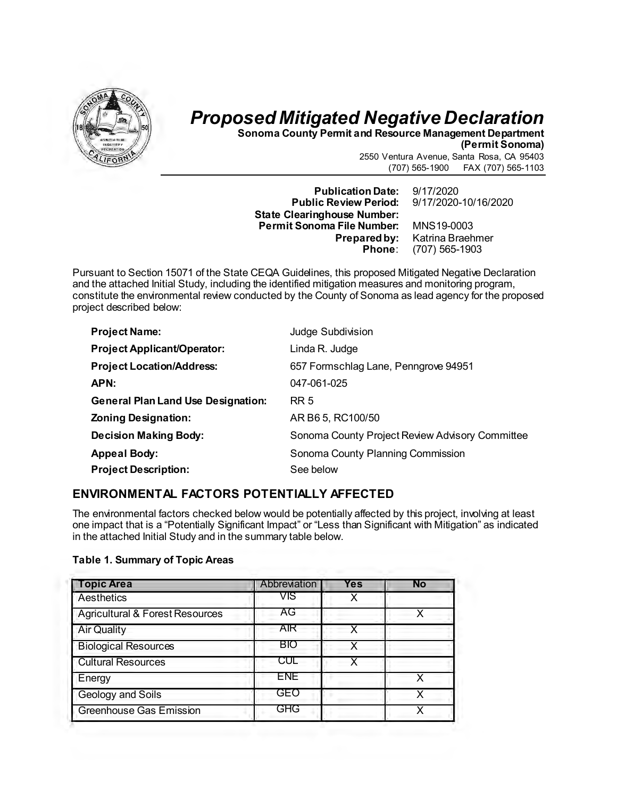

# *Proposed Mitigated Negative Declaration*

**Sonoma County Permit and Resource Management Department** 

**(Permit Sonoma)**

2550 Ventura Avenue, Santa Rosa, CA 95403 (707) 565-1900 FAX (707) 565-1103

**Publication Date:** 9/17/2020 **Public Review Period: State Clearinghouse Number: Permit Sonoma File Number:** MNS19-0003

**ared by:** Katrina Braehmer<br>**Phone**: (707) 565-1903 **Phone**: (707) 565-1903

Pursuant to Section 15071 of the State CEQA Guidelines, this proposed Mitigated Negative Declaration and the attached Initial Study, including the identified mitigation measures and monitoring program, constitute the environmental review conducted by the County of Sonoma as lead agency for the proposed project described below:

| <b>Project Name:</b>                      | Judge Subdivision                               |
|-------------------------------------------|-------------------------------------------------|
| <b>Project Applicant/Operator:</b>        | Linda R. Judge                                  |
| <b>Project Location/Address:</b>          | 657 Formschlag Lane, Penngrove 94951            |
| APN:                                      | 047-061-025                                     |
| <b>General Plan Land Use Designation:</b> | <b>RR 5</b>                                     |
| <b>Zoning Designation:</b>                | AR B6 5, RC100/50                               |
| <b>Decision Making Body:</b>              | Sonoma County Project Review Advisory Committee |
| <b>Appeal Body:</b>                       | Sonoma County Planning Commission               |
| <b>Project Description:</b>               | See below                                       |

# **ENVIRONMENTAL FACTORS POTENTIALLY AFFECTED**

The environmental factors checked below would be potentially affected by this project, involving at least one impact that is a "Potentially Significant Impact" or "Less than Significant with Mitigation" as indicated in the attached Initial Study and in the summary table below.

|  |  | <b>Table 1. Summary of Topic Areas</b> |
|--|--|----------------------------------------|
|--|--|----------------------------------------|

| <b>Topic Area</b>               | Abbreviation | Yes | No |
|---------------------------------|--------------|-----|----|
| Aesthetics                      | VIS          |     |    |
| Agricultural & Forest Resources | AG           |     |    |
| <b>Air Quality</b>              | AIR          |     |    |
| <b>Biological Resources</b>     | BIO          |     |    |
| <b>Cultural Resources</b>       | CUL          |     |    |
| Energy                          | <b>ENE</b>   |     |    |
| <b>Geology and Soils</b>        | GEO          |     | x  |
| Greenhouse Gas Emission         | <b>GHG</b>   |     | x  |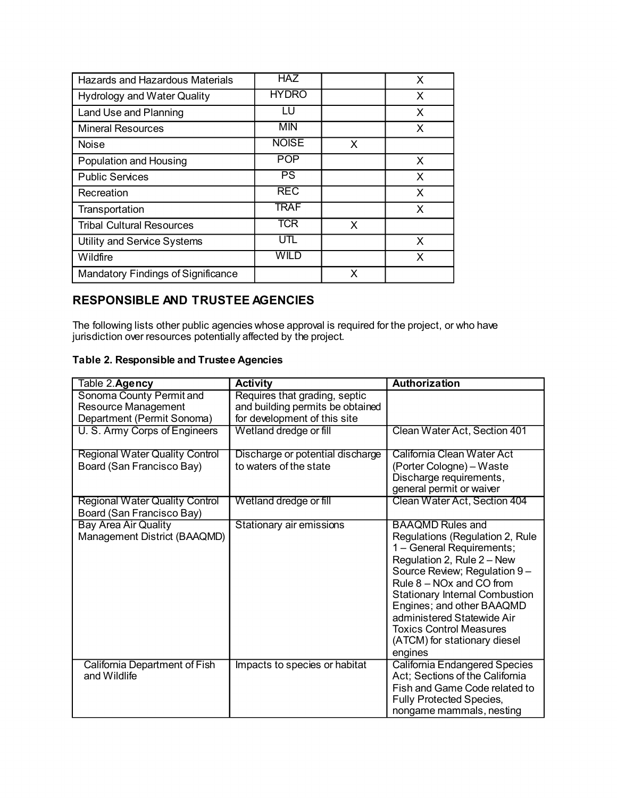| Hazards and Hazardous Materials    | <b>HAZ</b>   |   | X |
|------------------------------------|--------------|---|---|
| <b>Hydrology and Water Quality</b> | <b>HYDRO</b> |   | X |
| Land Use and Planning              | LU           |   | X |
| <b>Mineral Resources</b>           | <b>MIN</b>   |   | X |
| Noise                              | <b>NOISE</b> | X |   |
| Population and Housing             | <b>POP</b>   |   | X |
| <b>Public Services</b>             | <b>PS</b>    |   | X |
| Recreation                         | <b>REC</b>   |   | X |
| Transportation                     | <b>TRAF</b>  |   | X |
| <b>Tribal Cultural Resources</b>   | <b>TCR</b>   | X |   |
| Utility and Service Systems        | UTL          |   | X |
| Wildfire                           | WILD         |   | X |
| Mandatory Findings of Significance |              | x |   |

# **RESPONSIBLE AND TRUSTEE AGENCIES**

The following lists other public agencies whose approval is required for the project, or who have jurisdiction over resources potentially affected by the project.

# **Table 2. Responsible and Trustee Agencies**

| Table 2.Agency                                                                | <b>Activity</b>                                                                                   | <b>Authorization</b>                                                                                                                                                                                                                                                                                                                                               |
|-------------------------------------------------------------------------------|---------------------------------------------------------------------------------------------------|--------------------------------------------------------------------------------------------------------------------------------------------------------------------------------------------------------------------------------------------------------------------------------------------------------------------------------------------------------------------|
| Sonoma County Permit and<br>Resource Management<br>Department (Permit Sonoma) | Requires that grading, septic<br>and building permits be obtained<br>for development of this site |                                                                                                                                                                                                                                                                                                                                                                    |
| U. S. Army Corps of Engineers                                                 | Wetland dredge or fill                                                                            | Clean Water Act, Section 401                                                                                                                                                                                                                                                                                                                                       |
| <b>Regional Water Quality Control</b><br>Board (San Francisco Bay)            | Discharge or potential discharge<br>to waters of the state                                        | California Clean Water Act<br>(Porter Cologne) - Waste<br>Discharge requirements,<br>general permit or waiver                                                                                                                                                                                                                                                      |
| <b>Regional Water Quality Control</b><br>Board (San Francisco Bay)            | Wetland dredge or fill                                                                            | Clean Water Act, Section 404                                                                                                                                                                                                                                                                                                                                       |
| <b>Bay Area Air Quality</b><br>Management District (BAAQMD)                   | Stationary air emissions                                                                          | <b>BAAQMD Rules and</b><br>Regulations (Regulation 2, Rule<br>1 - General Requirements;<br>Regulation 2, Rule 2 - New<br>Source Review; Regulation 9-<br>Rule 8 – NOx and CO from<br><b>Stationary Internal Combustion</b><br>Engines; and other BAAQMD<br>administered Statewide Air<br><b>Toxics Control Measures</b><br>(ATCM) for stationary diesel<br>engines |
| California Department of Fish<br>and Wildlife                                 | Impacts to species or habitat                                                                     | <b>California Endangered Species</b><br>Act; Sections of the California<br>Fish and Game Code related to<br><b>Fully Protected Species,</b><br>nongame mammals, nesting                                                                                                                                                                                            |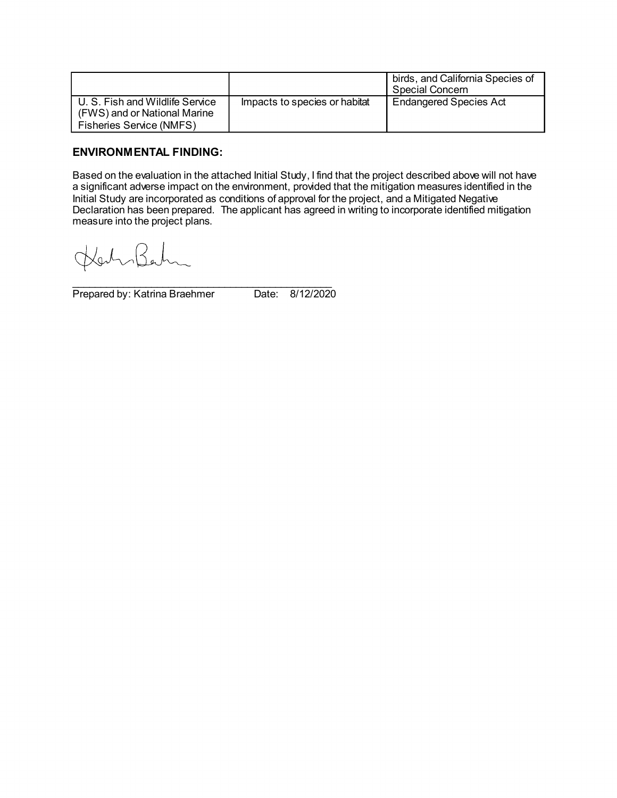|                                                                                             |                               | birds, and California Species of<br>Special Concern |
|---------------------------------------------------------------------------------------------|-------------------------------|-----------------------------------------------------|
| U. S. Fish and Wildlife Service<br>(FWS) and or National Marine<br>Fisheries Service (NMFS) | Impacts to species or habitat | <b>Endangered Species Act</b>                       |

# **ENVIRONMENTAL FINDING:**

Based on the evaluation in the attached Initial Study, I find that the project described above will not have a significant adverse impact on the environment, provided that the mitigation measures identified in the Initial Study are incorporated as conditions of approval for the project, and a Mitigated Negative Declaration has been prepared. The applicant has agreed in writing to incorporate identified mitigation measure into the project plans.

 $R_{\bullet}$  $\frac{1}{2}$ 

\_\_\_\_\_\_\_\_\_\_\_\_\_\_\_\_\_\_\_\_\_\_\_\_\_\_\_\_\_\_\_\_\_\_\_\_\_\_\_\_\_\_\_\_\_\_ Prepared by: Katrina Braehmer Date: 8/12/2020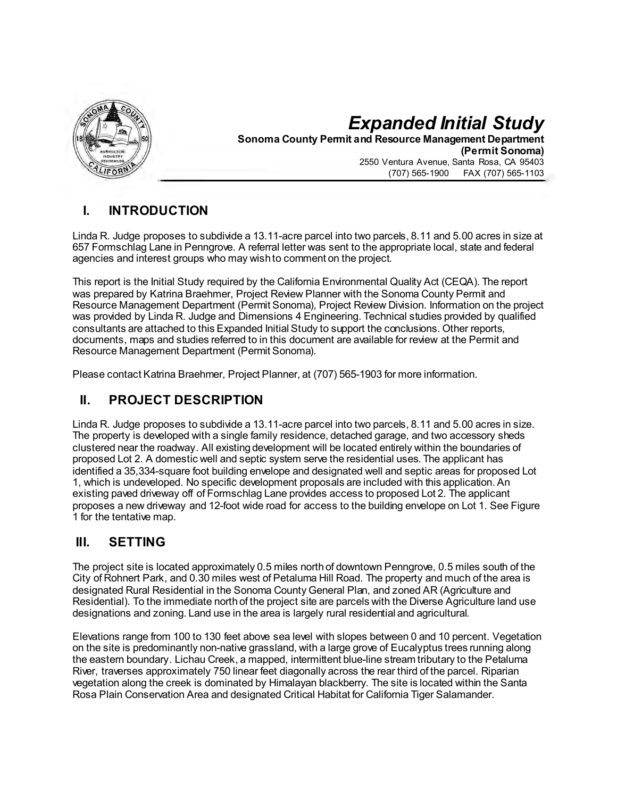

# *Expanded Initial Study* **Sonoma County Permit and Resource Management Department (Permit Sonoma)** 2550 Ventura Avenue, Santa Rosa, CA 95403 (707) 565-1900 FAX (707) 565-1103

# **I. INTRODUCTION**

Linda R. Judge proposes to subdivide a 13.11-acre parcel into two parcels, 8.11 and 5.00 acres in size at 657 Formschlag Lane in Penngrove. A referral letter was sent to the appropriate local, state and federal agencies and interest groups who may wish to comment on the project.

This report is the Initial Study required by the California Environmental Quality Act (CEQA). The report was prepared by Katrina Braehmer, Project Review Planner with the Sonoma County Permit and Resource Management Department (Permit Sonoma), Project Review Division. Information on the project was provided by Linda R. Judge and Dimensions 4 Engineering. Technical studies provided by qualified consultants are attached to this Expanded Initial Study to support the conclusions. Other reports, documents, maps and studies referred to in this document are available for review at the Permit and Resource Management Department (Permit Sonoma).

Please contact Katrina Braehmer, Project Planner, at (707) 565-1903 for more information.

# **II. PROJECT DESCRIPTION**

Linda R. Judge proposes to subdivide a 13.11-acre parcel into two parcels, 8.11 and 5.00 acres in size. The property is developed with a single family residence, detached garage, and two accessory sheds clustered near the roadway. All existing development will be located entirely within the boundaries of proposed Lot 2. A domestic well and septic system serve the residential uses. The applicant has identified a 35,334-square foot building envelope and designated well and septic areas for proposed Lot 1, which is undeveloped. No specific development proposals are included with this application. An existing paved driveway off of Formschlag Lane provides access to proposed Lot 2. The applicant proposes a new driveway and 12-foot wide road for access to the building envelope on Lot 1. See Figure 1 for the tentative map.

# **III. SETTING**

The project site is located approximately 0.5 miles north of downtown Penngrove, 0.5 miles south of the City of Rohnert Park, and 0.30 miles west of Petaluma Hill Road. The property and much of the area is designated Rural Residential in the Sonoma County General Plan, and zoned AR (Agriculture and Residential). To the immediate north of the project site are parcels with the Diverse Agriculture land use designations and zoning. Land use in the area is largely rural residential and agricultural.

Elevations range from 100 to 130 feet above sea level with slopes between 0 and 10 percent. Vegetation on the site is predominantly non-native grassland, with a large grove of Eucalyptus trees running along the eastern boundary. Lichau Creek, a mapped, intermittent blue-line stream tributary to the Petaluma River, traverses approximately 750 linear feet diagonally across the rear third of the parcel. Riparian vegetation along the creek is dominated by Himalayan blackberry. The site is located within the Santa Rosa Plain Conservation Area and designated Critical Habitat for California Tiger Salamander.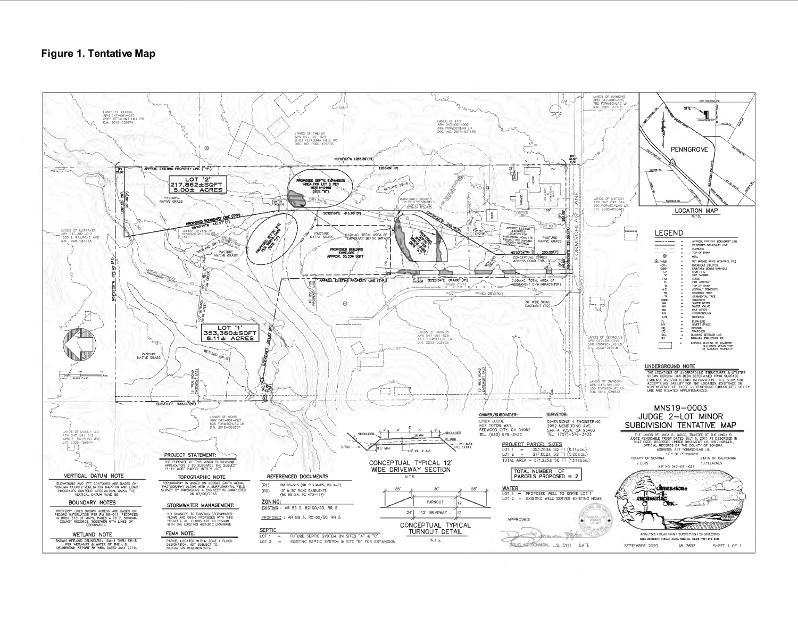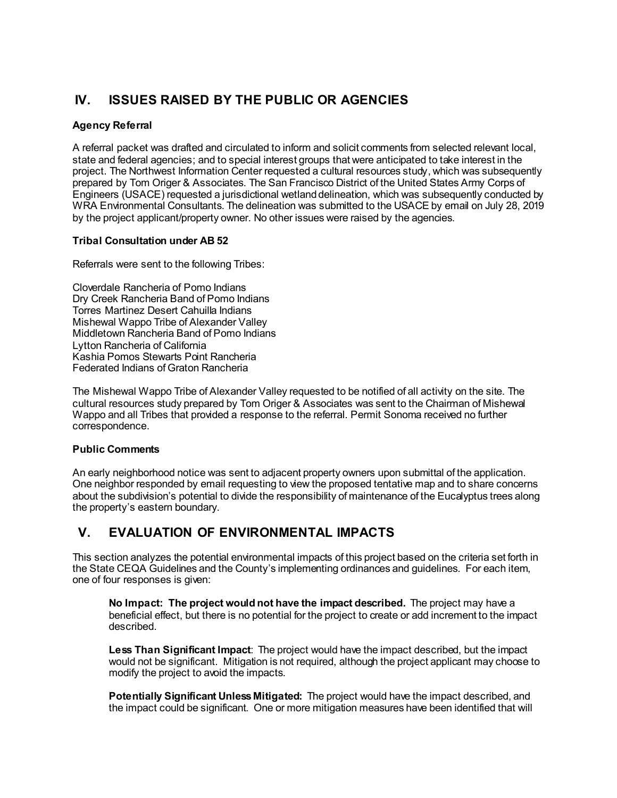# **IV. ISSUES RAISED BY THE PUBLIC OR AGENCIES**

# **Agency Referral**

A referral packet was drafted and circulated to inform and solicit comments from selected relevant local, state and federal agencies; and to special interest groups that were anticipated to take interest in the project. The Northwest Information Center requested a cultural resources study, which was subsequently prepared by Tom Origer & Associates. The San Francisco District of the United States Army Corps of Engineers (USACE) requested a jurisdictional wetland delineation, which was subsequently conducted by WRA Environmental Consultants. The delineation was submitted to the USACE by email on July 28, 2019 by the project applicant/property owner. No other issues were raised by the agencies.

# **Tribal Consultation under AB 52**

Referrals were sent to the following Tribes:

Cloverdale Rancheria of Pomo Indians Dry Creek Rancheria Band of Pomo Indians Torres Martinez Desert Cahuilla Indians Mishewal Wappo Tribe of Alexander Valley Middletown Rancheria Band of Pomo Indians Lytton Rancheria of California Kashia Pomos Stewarts Point Rancheria Federated Indians of Graton Rancheria

The Mishewal Wappo Tribe of Alexander Valley requested to be notified of all activity on the site. The cultural resources study prepared by Tom Origer & Associates was sent to the Chairman of Mishewal Wappo and all Tribes that provided a response to the referral. Permit Sonoma received no further correspondence.

# **Public Comments**

An early neighborhood notice was sent to adjacent property owners upon submittal of the application. One neighbor responded by email requesting to view the proposed tentative map and to share concerns about the subdivision's potential to divide the responsibility of maintenance of the Eucalyptus trees along the property's eastern boundary.

# **V. EVALUATION OF ENVIRONMENTAL IMPACTS**

This section analyzes the potential environmental impacts of this project based on the criteria set forth in the State CEQA Guidelines and the County's implementing ordinances and guidelines. For each item, one of four responses is given:

**No Impact: The project would not have the impact described.** The project may have a beneficial effect, but there is no potential for the project to create or add increment to the impact described.

**Less Than Significant Impact**: The project would have the impact described, but the impact would not be significant. Mitigation is not required, although the project applicant may choose to modify the project to avoid the impacts.

**Potentially Significant Unless Mitigated:** The project would have the impact described, and the impact could be significant. One or more mitigation measures have been identified that will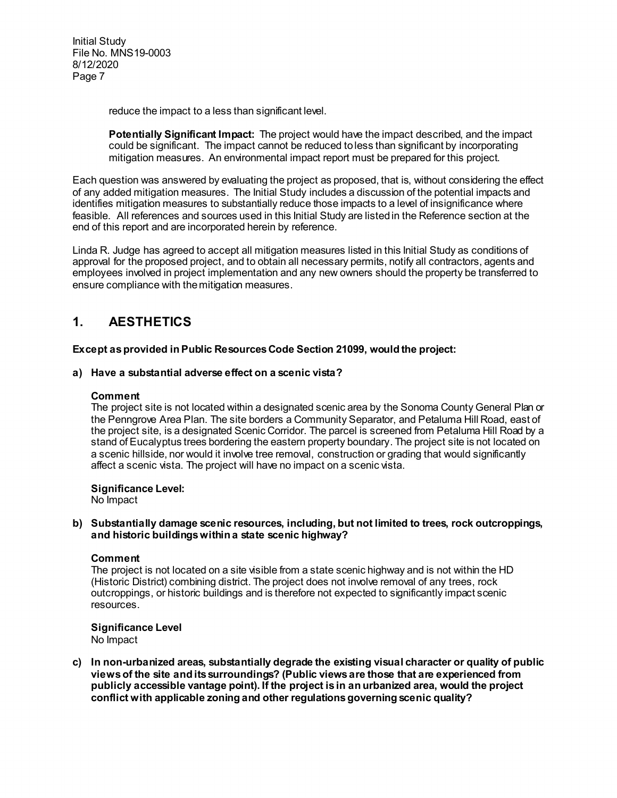reduce the impact to a less than significant level.

**Potentially Significant Impact:** The project would have the impact described, and the impact could be significant. The impact cannot be reduced to less than significant by incorporating mitigation measures. An environmental impact report must be prepared for this project.

Each question was answered by evaluating the project as proposed, that is, without considering the effect of any added mitigation measures. The Initial Study includes a discussion of the potential impacts and identifies mitigation measures to substantially reduce those impacts to a level of insignificance where feasible. All references and sources used in this Initial Study are listed in the Reference section at the end of this report and are incorporated herein by reference.

Linda R. Judge has agreed to accept all mitigation measures listed in this Initial Study as conditions of approval for the proposed project, and to obtain all necessary permits, notify all contractors, agents and employees involved in project implementation and any new owners should the property be transferred to ensure compliance with the mitigation measures.

# **1. AESTHETICS**

**Except as provided in Public Resources Code Section 21099, would the project:**

# **a) Have a substantial adverse effect on a scenic vista?**

# **Comment**

The project site is not located within a designated scenic area by the Sonoma County General Plan or the Penngrove Area Plan. The site borders a Community Separator, and Petaluma Hill Road, east of the project site, is a designated Scenic Corridor. The parcel is screened from Petaluma Hill Road by a stand of Eucalyptus trees bordering the eastern property boundary. The project site is not located on a scenic hillside, nor would it involve tree removal, construction or grading that would significantly affect a scenic vista. The project will have no impact on a scenic vista.

# **Significance Level:**

No Impact

### **b) Substantially damage scenic resources, including, but not limited to trees, rock outcroppings, and historic buildings within a state scenic highway?**

### **Comment**

The project is not located on a site visible from a state scenic highway and is not within the HD (Historic District) combining district. The project does not involve removal of any trees, rock outcroppings, or historic buildings and is therefore not expected to significantly impact scenic resources.

### **Significance Level**

No Impact

**c) In non-urbanized areas, substantially degrade the existing visual character or quality of public views of the site and its surroundings? (Public views are those that are experienced from publicly accessible vantage point). If the project is in an urbanized area, would the project conflict with applicable zoning and other regulations governing scenic quality?**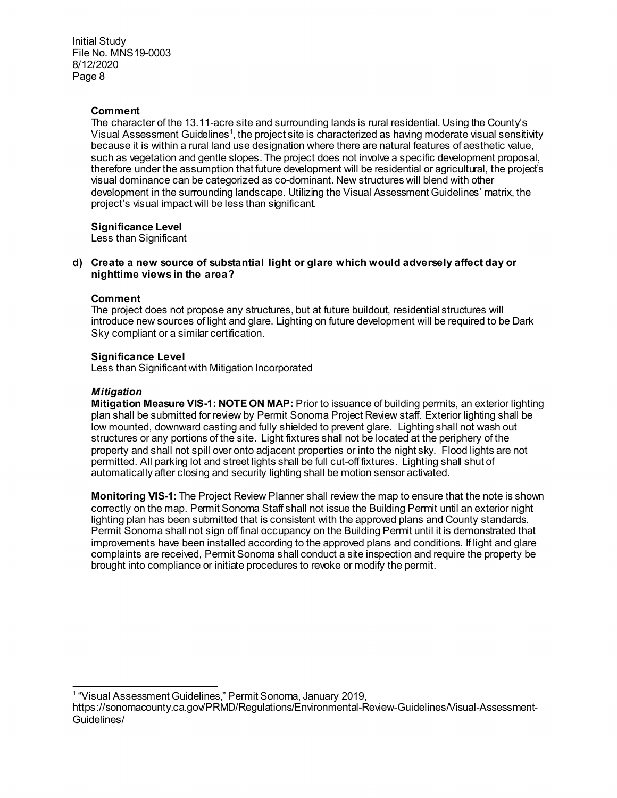# **Comment**

The character of the 13.11-acre site and surrounding lands is rural residential. Using the County's Visual Assessment Guidelines $^{\text{\tiny{\textup{1}}}}$  $^{\text{\tiny{\textup{1}}}}$  $^{\text{\tiny{\textup{1}}}}$ , the project site is characterized as having moderate visual sensitivity because it is within a rural land use designation where there are natural features of aesthetic value, such as vegetation and gentle slopes. The project does not involve a specific development proposal, therefore under the assumption that future development will be residential or agricultural, the project's visual dominance can be categorized as co-dominant. New structures will blend with other development in the surrounding landscape. Utilizing the Visual Assessment Guidelines' matrix, the project's visual impact will be less than significant.

# **Significance Level**

Less than Significant

# **d) Create a new source of substantial light or glare which would adversely affect day or nighttime views in the area?**

# **Comment**

The project does not propose any structures, but at future buildout, residential structures will introduce new sources of light and glare. Lighting on future development will be required to be Dark Sky compliant or a similar certification.

# **Significance Level**

Less than Significant with Mitigation Incorporated

# *Mitigation*

**Mitigation Measure VIS-1: NOTE ON MAP:** Prior to issuance of building permits, an exterior lighting plan shall be submitted for review by Permit Sonoma Project Review staff. Exterior lighting shall be low mounted, downward casting and fully shielded to prevent glare. Lighting shall not wash out structures or any portions of the site. Light fixtures shall not be located at the periphery of the property and shall not spill over onto adjacent properties or into the night sky. Flood lights are not permitted. All parking lot and street lights shall be full cut-off fixtures. Lighting shall shut of automatically after closing and security lighting shall be motion sensor activated.

**Monitoring VIS-1:** The Project Review Planner shall review the map to ensure that the note is shown correctly on the map. Permit Sonoma Staff shall not issue the Building Permit until an exterior night lighting plan has been submitted that is consistent with the approved plans and County standards. Permit Sonoma shall not sign off final occupancy on the Building Permit until it is demonstrated that improvements have been installed according to the approved plans and conditions. If light and glare complaints are received, Permit Sonoma shall conduct a site inspection and require the property be brought into compliance or initiate procedures to revoke or modify the permit.

 $\overline{a}$ <sup>1</sup> "Visual Assessment Guidelines," Permit Sonoma, January 2019,

<span id="page-7-0"></span>https://sonomacounty.ca.gov/PRMD/Regulations/Environmental-Review-Guidelines/Visual-Assessment-Guidelines/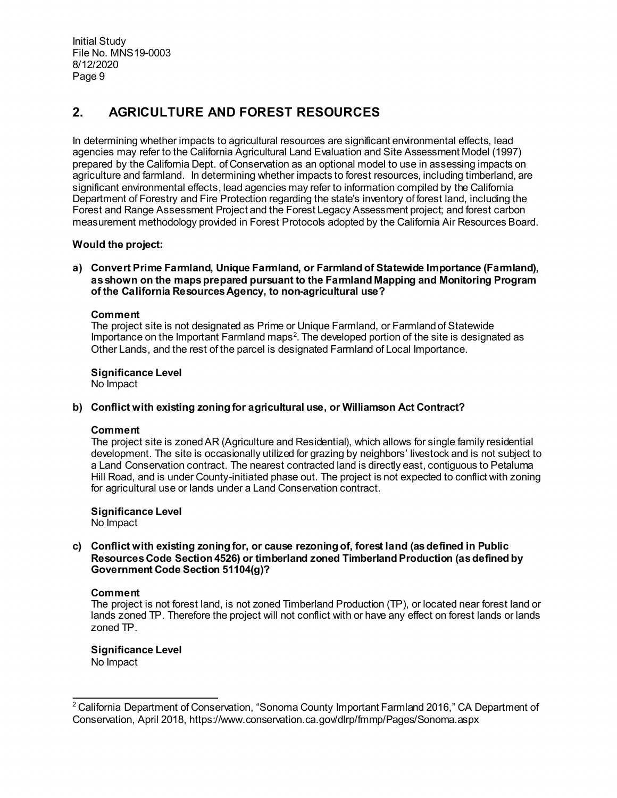# **2. AGRICULTURE AND FOREST RESOURCES**

In determining whether impacts to agricultural resources are significant environmental effects, lead agencies may refer to the California Agricultural Land Evaluation and Site Assessment Model (1997) prepared by the California Dept. of Conservation as an optional model to use in assessing impacts on agriculture and farmland. In determining whether impacts to forest resources, including timberland, are significant environmental effects, lead agencies may refer to information compiled by the California Department of Forestry and Fire Protection regarding the state's inventory of forest land, including the Forest and Range Assessment Project and the Forest Legacy Assessment project; and forest carbon measurement methodology provided in Forest Protocols adopted by the California Air Resources Board.

# **Would the project:**

**a) Convert Prime Farmland, Unique Farmland, or Farmland of Statewide Importance (Farmland), as shown on the maps prepared pursuant to the Farmland Mapping and Monitoring Program of the California Resources Agency, to non-agricultural use?**

# **Comment**

The project site is not designated as Prime or Unique Farmland, or Farmland of Statewide Importance on the Important Farmland maps<sup>[2](#page-8-0)</sup>. The developed portion of the site is designated as Other Lands, and the rest of the parcel is designated Farmland of Local Importance.

# **Significance Level**

No Impact

# **b) Conflict with existing zoning for agricultural use, or Williamson Act Contract?**

### **Comment**

The project site is zoned AR (Agriculture and Residential), which allows for single family residential development. The site is occasionally utilized for grazing by neighbors' livestock and is not subject to a Land Conservation contract. The nearest contracted land is directly east, contiguous to Petaluma Hill Road, and is under County-initiated phase out. The project is not expected to conflict with zoning for agricultural use or lands under a Land Conservation contract.

# **Significance Level**

No Impact

# **c) Conflict with existing zoning for, or cause rezoning of, forest land (as defined in Public Resources Code Section 4526) or timberland zoned Timberland Production (as defined by Government Code Section 51104(g)?**

### **Comment**

The project is not forest land, is not zoned Timberland Production (TP), or located near forest land or lands zoned TP. Therefore the project will not conflict with or have any effect on forest lands or lands zoned TP.

# **Significance Level**

No Impact

<span id="page-8-0"></span> $\overline{a}$  $^{\rm 2}$  California Department of Conservation, "Sonoma County Important Farmland 2016," CA Department of Conservation, April 2018, https://www.conservation.ca.gov/dlrp/fmmp/Pages/Sonoma.aspx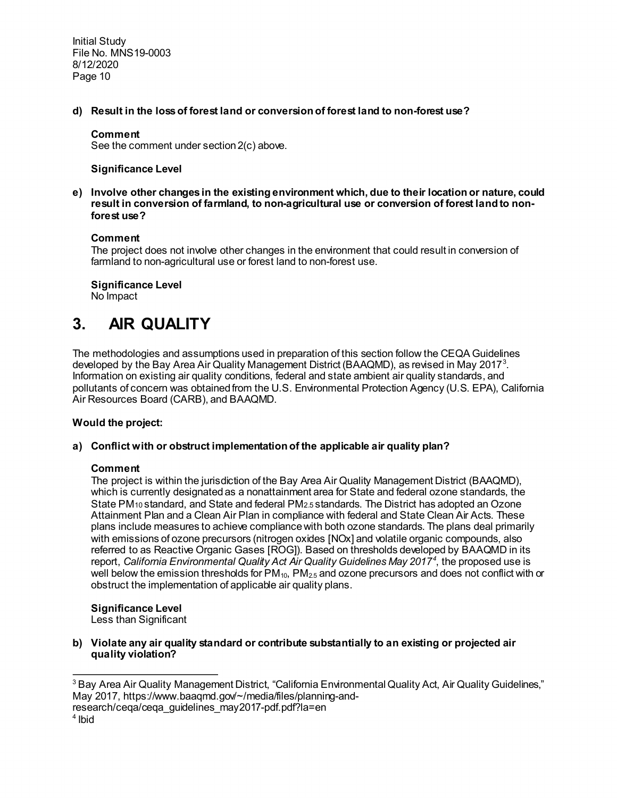**d) Result in the loss of forest land or conversion of forest land to non-forest use?**

# **Comment**

See the comment under section 2(c) above.

### **Significance Level**

**e) Involve other changes in the existing environment which, due to their location or nature, could result in conversion of farmland, to non-agricultural use or conversion of forest land to nonforest use?**

### **Comment**

The project does not involve other changes in the environment that could result in conversion of farmland to non-agricultural use or forest land to non-forest use.

**Significance Level**  No Impact

# **3. AIR QUALITY**

The methodologies and assumptions used in preparation of this section follow the CEQA Guidelines developed by the Bay Area Air Quality Management District (BAAQMD), as revised in May 2017 $^{\rm 3}$  $^{\rm 3}$  $^{\rm 3}$ . Information on existing air quality conditions, federal and state ambient air quality standards, and pollutants of concern was obtained from the U.S. Environmental Protection Agency (U.S. EPA), California Air Resources Board (CARB), and BAAQMD.

# **Would the project:**

### **a) Conflict with or obstruct implementation of the applicable air quality plan?**

### **Comment**

The project is within the jurisdiction of the Bay Area Air Quality Management District (BAAQMD), which is currently designated as a nonattainment area for State and federal ozone standards, the State PM10 standard, and State and federal PM2.5 standards. The District has adopted an Ozone Attainment Plan and a Clean Air Plan in compliance with federal and State Clean Air Acts. These plans include measures to achieve compliance with both ozone standards. The plans deal primarily with emissions of ozone precursors (nitrogen oxides [NOx] and volatile organic compounds, also referred to as Reactive Organic Gases [ROG]). Based on thresholds developed by BAAQMD in its report, *California Environmental Quality Act Air Quality Guidelines May 2017[4](#page-9-1)* , the proposed use is well below the emission thresholds for  $PM_{10}$ ,  $PM_{25}$  and ozone precursors and does not conflict with or obstruct the implementation of applicable air quality plans.

**Significance Level**

Less than Significant

**b) Violate any air quality standard or contribute substantially to an existing or projected air quality violation?**

<span id="page-9-1"></span>research/ceqa/ceqa\_guidelines\_may2017-pdf.pdf?la=en

 $\overline{a}$ 

<span id="page-9-0"></span><sup>&</sup>lt;sup>3</sup> Bay Area Air Quality Management District, "California Environmental Quality Act, Air Quality Guidelines," May 2017, https://www.baaqmd.gov/~/media/files/planning-and-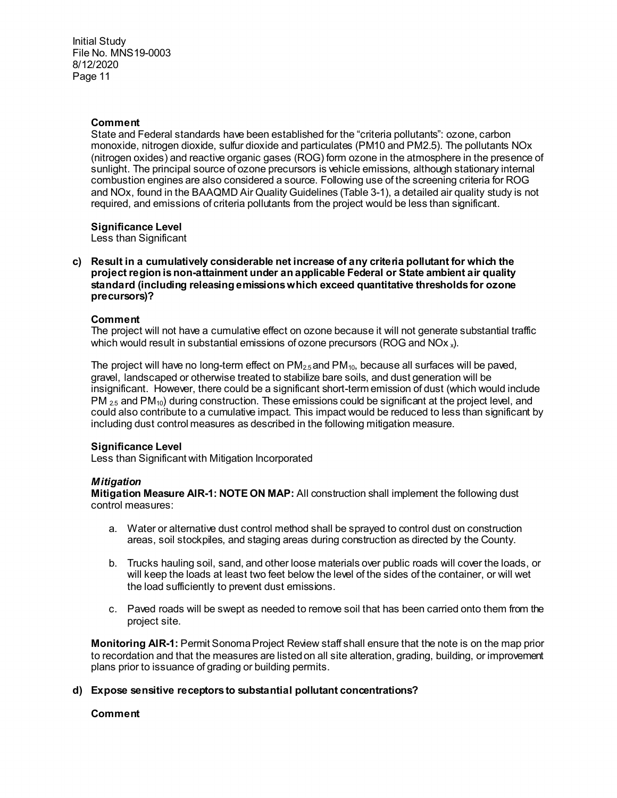### **Comment**

State and Federal standards have been established for the "criteria pollutants": ozone, carbon monoxide, nitrogen dioxide, sulfur dioxide and particulates (PM10 and PM2.5). The pollutants NOx (nitrogen oxides) and reactive organic gases (ROG) form ozone in the atmosphere in the presence of sunlight. The principal source of ozone precursors is vehicle emissions, although stationary internal combustion engines are also considered a source. Following use of the screening criteria for ROG and NOx, found in the BAAQMD Air Quality Guidelines (Table 3-1), a detailed air quality study is not required, and emissions of criteria pollutants from the project would be less than significant.

# **Significance Level**

Less than Significant

**c) Result in a cumulatively considerable net increase of any criteria pollutant for which the project region is non-attainment under an applicable Federal or State ambient air quality standard (including releasing emissions which exceed quantitative thresholds for ozone precursors)?**

### **Comment**

The project will not have a cumulative effect on ozone because it will not generate substantial traffic which would result in substantial emissions of ozone precursors (ROG and  $NOx<sub>x</sub>$ ).

The project will have no long-term effect on  $PM_{2.5}$  and  $PM_{10}$ , because all surfaces will be paved, gravel, landscaped or otherwise treated to stabilize bare soils, and dust generation will be insignificant. However, there could be a significant short-term emission of dust (which would include  $PM_{25}$  and PM<sub>10</sub>) during construction. These emissions could be significant at the project level, and could also contribute to a cumulative impact. This impact would be reduced to less than significant by including dust control measures as described in the following mitigation measure.

### **Significance Level**

Less than Significant with Mitigation Incorporated

### *Mitigation*

**Mitigation Measure AIR-1: NOTE ON MAP:** All construction shall implement the following dust control measures:

- a. Water or alternative dust control method shall be sprayed to control dust on construction areas, soil stockpiles, and staging areas during construction as directed by the County.
- b. Trucks hauling soil, sand, and other loose materials over public roads will cover the loads, or will keep the loads at least two feet below the level of the sides of the container, or will wet the load sufficiently to prevent dust emissions.
- c. Paved roads will be swept as needed to remove soil that has been carried onto them from the project site.

**Monitoring AIR-1:** Permit Sonoma Project Review staff shall ensure that the note is on the map prior to recordation and that the measures are listed on all site alteration, grading, building, or improvement plans prior to issuance of grading or building permits.

### **d) Expose sensitive receptors to substantial pollutant concentrations?**

### **Comment**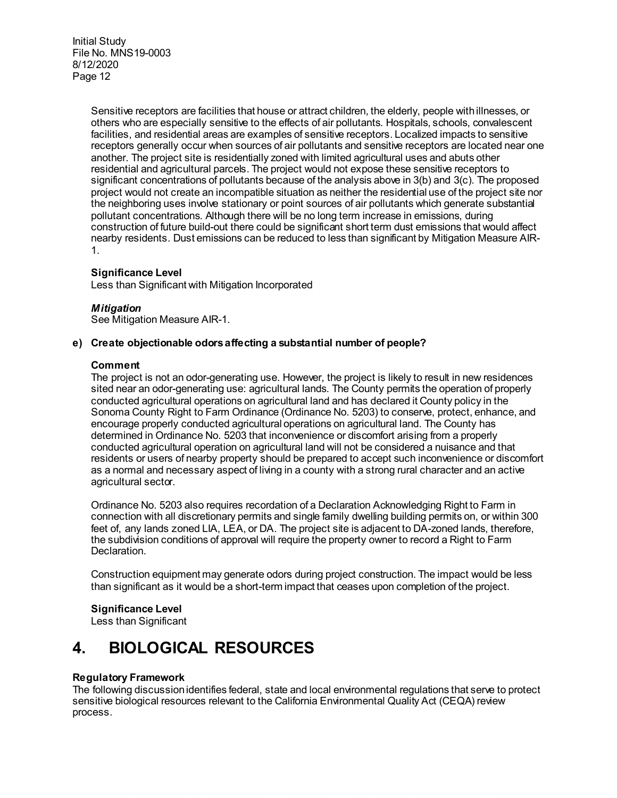> Sensitive receptors are facilities that house or attract children, the elderly, people with illnesses, or others who are especially sensitive to the effects of air pollutants. Hospitals, schools, convalescent facilities, and residential areas are examples of sensitive receptors. Localized impacts to sensitive receptors generally occur when sources of air pollutants and sensitive receptors are located near one another. The project site is residentially zoned with limited agricultural uses and abuts other residential and agricultural parcels. The project would not expose these sensitive receptors to significant concentrations of pollutants because of the analysis above in 3(b) and 3(c). The proposed project would not create an incompatible situation as neither the residential use of the project site nor the neighboring uses involve stationary or point sources of air pollutants which generate substantial pollutant concentrations. Although there will be no long term increase in emissions, during construction of future build-out there could be significant short term dust emissions that would affect nearby residents. Dust emissions can be reduced to less than significant by Mitigation Measure AIR-1.

# **Significance Level**

Less than Significant with Mitigation Incorporated

### *Mitigation*

See Mitigation Measure AIR-1.

# **e) Create objectionable odors affecting a substantial number of people?**

### **Comment**

The project is not an odor-generating use. However, the project is likely to result in new residences sited near an odor-generating use: agricultural lands. The County permits the operation of properly conducted agricultural operations on agricultural land and has declared it County policy in the Sonoma County Right to Farm Ordinance (Ordinance No. 5203) to conserve, protect, enhance, and encourage properly conducted agricultural operations on agricultural land. The County has determined in Ordinance No. 5203 that inconvenience or discomfort arising from a properly conducted agricultural operation on agricultural land will not be considered a nuisance and that residents or users of nearby property should be prepared to accept such inconvenience or discomfort as a normal and necessary aspect of living in a county with a strong rural character and an active agricultural sector.

Ordinance No. 5203 also requires recordation of a Declaration Acknowledging Right to Farm in connection with all discretionary permits and single family dwelling building permits on, or within 300 feet of, any lands zoned LIA, LEA, or DA. The project site is adjacent to DA-zoned lands, therefore, the subdivision conditions of approval will require the property owner to record a Right to Farm Declaration.

Construction equipment may generate odors during project construction. The impact would be less than significant as it would be a short-term impact that ceases upon completion of the project.

### **Significance Level**

Less than Significant

# **4. BIOLOGICAL RESOURCES**

### **Regulatory Framework**

The following discussion identifies federal, state and local environmental regulations that serve to protect sensitive biological resources relevant to the California Environmental Quality Act (CEQA) review process.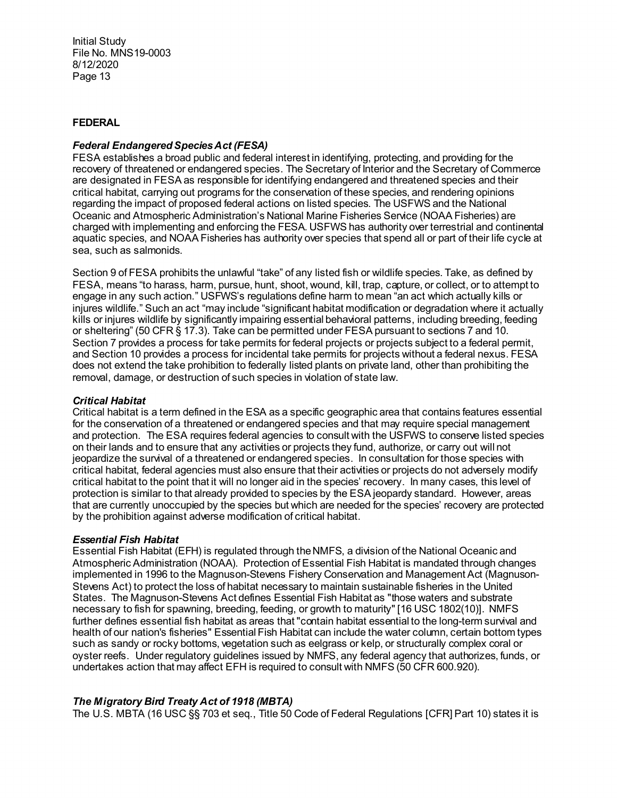### **FEDERAL**

# *Federal Endangered Species Act (FESA)*

FESA establishes a broad public and federal interest in identifying, protecting, and providing for the recovery of threatened or endangered species. The Secretary of Interior and the Secretary of Commerce are designated in FESA as responsible for identifying endangered and threatened species and their critical habitat, carrying out programs for the conservation of these species, and rendering opinions regarding the impact of proposed federal actions on listed species. The USFWS and the National Oceanic and Atmospheric Administration's National Marine Fisheries Service (NOAA Fisheries) are charged with implementing and enforcing the FESA. USFWS has authority over terrestrial and continental aquatic species, and NOAA Fisheries has authority over species that spend all or part of their life cycle at sea, such as salmonids.

Section 9 of FESA prohibits the unlawful "take" of any listed fish or wildlife species. Take, as defined by FESA, means "to harass, harm, pursue, hunt, shoot, wound, kill, trap, capture, or collect, or to attempt to engage in any such action." USFWS's regulations define harm to mean "an act which actually kills or injures wildlife." Such an act "may include "significant habitat modification or degradation where it actually kills or injures wildlife by significantly impairing essential behavioral patterns, including breeding, feeding or sheltering" (50 CFR § 17.3). Take can be permitted under FESA pursuant to sections 7 and 10. Section 7 provides a process for take permits for federal projects or projects subject to a federal permit, and Section 10 provides a process for incidental take permits for projects without a federal nexus. FESA does not extend the take prohibition to federally listed plants on private land, other than prohibiting the removal, damage, or destruction of such species in violation of state law.

### *Critical Habitat*

Critical habitat is a term defined in the ESA as a specific geographic area that contains features essential for the conservation of a threatened or endangered species and that may require special management and protection. The ESA requires federal agencies to consult with the USFWS to conserve listed species on their lands and to ensure that any activities or projects they fund, authorize, or carry out will not jeopardize the survival of a threatened or endangered species. In consultation for those species with critical habitat, federal agencies must also ensure that their activities or projects do not adversely modify critical habitat to the point that it will no longer aid in the species' recovery. In many cases, this level of protection is similar to that already provided to species by the ESA jeopardy standard. However, areas that are currently unoccupied by the species but which are needed for the species' recovery are protected by the prohibition against adverse modification of critical habitat.

### *Essential Fish Habitat*

Essential Fish Habitat (EFH) is regulated through the NMFS, a division of the National Oceanic and Atmospheric Administration (NOAA). Protection of Essential Fish Habitat is mandated through changes implemented in 1996 to the Magnuson-Stevens Fishery Conservation and Management Act (Magnuson-Stevens Act) to protect the loss of habitat necessary to maintain sustainable fisheries in the United States. The Magnuson-Stevens Act defines Essential Fish Habitat as "those waters and substrate necessary to fish for spawning, breeding, feeding, or growth to maturity" [16 USC 1802(10)]. NMFS further defines essential fish habitat as areas that "contain habitat essential to the long-term survival and health of our nation's fisheries" Essential Fish Habitat can include the water column, certain bottom types such as sandy or rocky bottoms, vegetation such as eelgrass or kelp, or structurally complex coral or oyster reefs. Under regulatory guidelines issued by NMFS, any federal agency that authorizes, funds, or undertakes action that may affect EFH is required to consult with NMFS (50 CFR 600.920).

# *The Migratory Bird Treaty Act of 1918 (MBTA)*

The U.S. MBTA (16 USC §§ 703 et seq., Title 50 Code of Federal Regulations [CFR] Part 10) states it is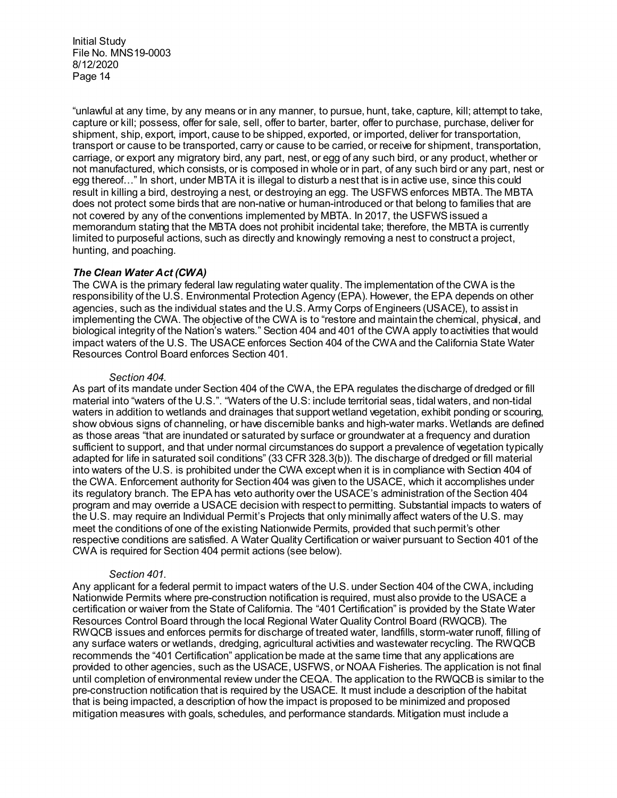"unlawful at any time, by any means or in any manner, to pursue, hunt, take, capture, kill; attempt to take, capture or kill; possess, offer for sale, sell, offer to barter, barter, offer to purchase, purchase, deliver for shipment, ship, export, import, cause to be shipped, exported, or imported, deliver for transportation, transport or cause to be transported, carry or cause to be carried, or receive for shipment, transportation, carriage, or export any migratory bird, any part, nest, or egg of any such bird, or any product, whether or not manufactured, which consists, or is composed in whole or in part, of any such bird or any part, nest or egg thereof…" In short, under MBTA it is illegal to disturb a nest that is in active use, since this could result in killing a bird, destroying a nest, or destroying an egg. The USFWS enforces MBTA. The MBTA does not protect some birds that are non-native or human-introduced or that belong to families that are not covered by any of the conventions implemented by MBTA. In 2017, the USFWS issued a memorandum stating that the MBTA does not prohibit incidental take; therefore, the MBTA is currently limited to purposeful actions, such as directly and knowingly removing a nest to construct a project, hunting, and poaching.

# *The Clean Water Act (CWA)*

The CWA is the primary federal law regulating water quality. The implementation of the CWA is the responsibility of the U.S. Environmental Protection Agency (EPA). However, the EPA depends on other agencies, such as the individual states and the U.S. Army Corps of Engineers (USACE), to assist in implementing the CWA. The objective of the CWA is to "restore and maintain the chemical, physical, and biological integrity of the Nation's waters." Section 404 and 401 of the CWA apply to activities that would impact waters of the U.S. The USACE enforces Section 404 of the CWA and the California State Water Resources Control Board enforces Section 401.

#### *Section 404.*

As part of its mandate under Section 404 of the CWA, the EPA regulates the discharge of dredged or fill material into "waters of the U.S.". "Waters of the U.S: include territorial seas, tidal waters, and non-tidal waters in addition to wetlands and drainages that support wetland vegetation, exhibit ponding or scouring, show obvious signs of channeling, or have discernible banks and high-water marks. Wetlands are defined as those areas "that are inundated or saturated by surface or groundwater at a frequency and duration sufficient to support, and that under normal circumstances do support a prevalence of vegetation typically adapted for life in saturated soil conditions" (33 CFR 328.3(b)). The discharge of dredged or fill material into waters of the U.S. is prohibited under the CWA except when it is in compliance with Section 404 of the CWA. Enforcement authority for Section 404 was given to the USACE, which it accomplishes under its regulatory branch. The EPA has veto authority over the USACE's administration of the Section 404 program and may override a USACE decision with respect to permitting. Substantial impacts to waters of the U.S. may require an Individual Permit's Projects that only minimally affect waters of the U.S. may meet the conditions of one of the existing Nationwide Permits, provided that such permit's other respective conditions are satisfied. A Water Quality Certification or waiver pursuant to Section 401 of the CWA is required for Section 404 permit actions (see below).

### *Section 401.*

Any applicant for a federal permit to impact waters of the U.S. under Section 404 of the CWA, including Nationwide Permits where pre-construction notification is required, must also provide to the USACE a certification or waiver from the State of California. The "401 Certification" is provided by the State Water Resources Control Board through the local Regional Water Quality Control Board (RWQCB). The RWQCB issues and enforces permits for discharge of treated water, landfills, storm-water runoff, filling of any surface waters or wetlands, dredging, agricultural activities and wastewater recycling. The RWQCB recommends the "401 Certification" application be made at the same time that any applications are provided to other agencies, such as the USACE, USFWS, or NOAA Fisheries. The application is not final until completion of environmental review under the CEQA. The application to the RWQCB is similar to the pre-construction notification that is required by the USACE. It must include a description of the habitat that is being impacted, a description of how the impact is proposed to be minimized and proposed mitigation measures with goals, schedules, and performance standards. Mitigation must include a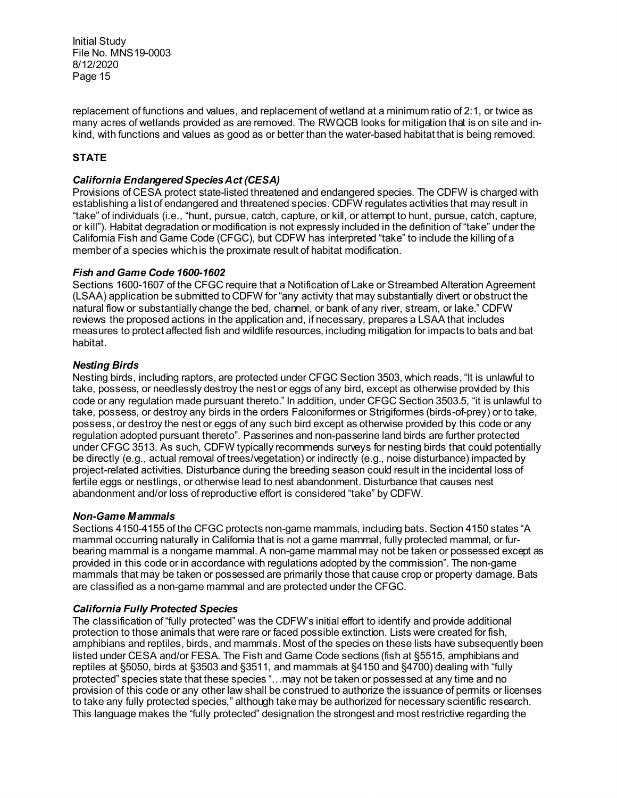replacement of functions and values, and replacement of wetland at a minimum ratio of 2:1, or twice as many acres of wetlands provided as are removed. The RWQCB looks for mitigation that is on site and inkind, with functions and values as good as or better than the water-based habitat that is being removed.

# **STATE**

# *California Endangered Species Act (CESA)*

Provisions of CESA protect state-listed threatened and endangered species. The CDFW is charged with establishing a list of endangered and threatened species. CDFW regulates activities that may result in "take" of individuals (i.e., "hunt, pursue, catch, capture, or kill, or attempt to hunt, pursue, catch, capture, or kill"). Habitat degradation or modification is not expressly included in the definition of "take" under the California Fish and Game Code (CFGC), but CDFW has interpreted "take" to include the killing of a member of a species which is the proximate result of habitat modification.

# *Fish and Game Code 1600-1602*

Sections 1600-1607 of the CFGC require that a Notification of Lake or Streambed Alteration Agreement (LSAA) application be submitted to CDFW for "any activity that may substantially divert or obstruct the natural flow or substantially change the bed, channel, or bank of any river, stream, or lake." CDFW reviews the proposed actions in the application and, if necessary, prepares a LSAA that includes measures to protect affected fish and wildlife resources, including mitigation for impacts to bats and bat habitat.

# *Nesting Birds*

Nesting birds, including raptors, are protected under CFGC Section 3503, which reads, "It is unlawful to take, possess, or needlessly destroy the nest or eggs of any bird, except as otherwise provided by this code or any regulation made pursuant thereto." In addition, under CFGC Section 3503.5, "it is unlawful to take, possess, or destroy any birds in the orders Falconiformes or Strigiformes (birds-of-prey) or to take, possess, or destroy the nest or eggs of any such bird except as otherwise provided by this code or any regulation adopted pursuant thereto". Passerines and non-passerine land birds are further protected under CFGC 3513. As such, CDFW typically recommends surveys for nesting birds that could potentially be directly (e.g., actual removal of trees/vegetation) or indirectly (e.g., noise disturbance) impacted by project-related activities. Disturbance during the breeding season could result in the incidental loss of fertile eggs or nestlings, or otherwise lead to nest abandonment. Disturbance that causes nest abandonment and/or loss of reproductive effort is considered "take" by CDFW.

# *Non-Game Mammals*

Sections 4150-4155 of the CFGC protects non-game mammals, including bats. Section 4150 states "A mammal occurring naturally in California that is not a game mammal, fully protected mammal, or furbearing mammal is a nongame mammal. A non-game mammal may not be taken or possessed except as provided in this code or in accordance with regulations adopted by the commission". The non-game mammals that may be taken or possessed are primarily those that cause crop or property damage. Bats are classified as a non-game mammal and are protected under the CFGC.

# *California Fully Protected Species*

The classification of "fully protected" was the CDFW's initial effort to identify and provide additional protection to those animals that were rare or faced possible extinction. Lists were created for fish, amphibians and reptiles, birds, and mammals. Most of the species on these lists have subsequently been listed under CESA and/or FESA. The Fish and Game Code sections (fish at §5515, amphibians and reptiles at §5050, birds at §3503 and §3511, and mammals at §4150 and §4700) dealing with "fully protected" species state that these species "…may not be taken or possessed at any time and no provision of this code or any other law shall be construed to authorize the issuance of permits or licenses to take any fully protected species," although take may be authorized for necessary scientific research. This language makes the "fully protected" designation the strongest and most restrictive regarding the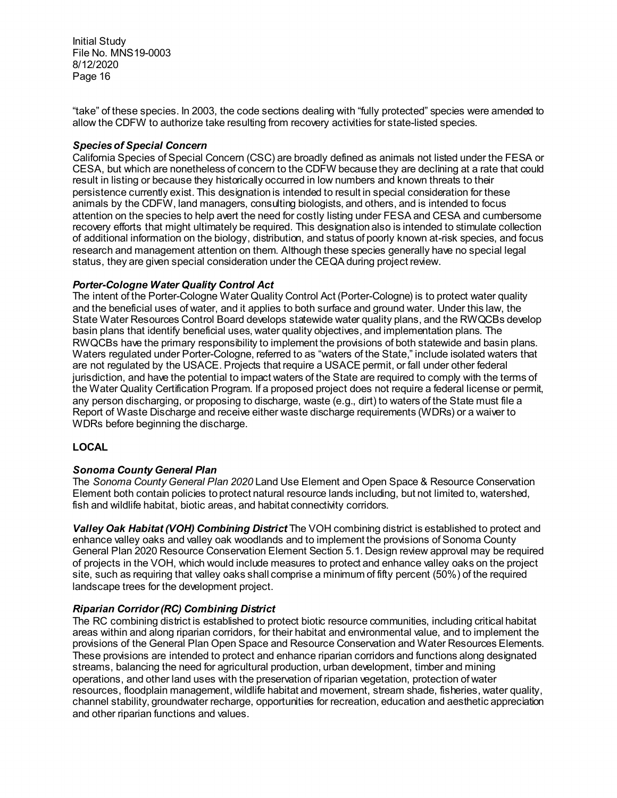"take" of these species. In 2003, the code sections dealing with "fully protected" species were amended to allow the CDFW to authorize take resulting from recovery activities for state-listed species.

# *Species of Special Concern*

California Species of Special Concern (CSC) are broadly defined as animals not listed under the FESA or CESA, but which are nonetheless of concern to the CDFW because they are declining at a rate that could result in listing or because they historically occurred in low numbers and known threats to their persistence currently exist. This designation is intended to result in special consideration for these animals by the CDFW, land managers, consulting biologists, and others, and is intended to focus attention on the species to help avert the need for costly listing under FESA and CESA and cumbersome recovery efforts that might ultimately be required. This designation also is intended to stimulate collection of additional information on the biology, distribution, and status of poorly known at-risk species, and focus research and management attention on them. Although these species generally have no special legal status, they are given special consideration under the CEQA during project review.

# *Porter-Cologne Water Quality Control Act*

The intent of the Porter-Cologne Water Quality Control Act (Porter-Cologne) is to protect water quality and the beneficial uses of water, and it applies to both surface and ground water. Under this law, the State Water Resources Control Board develops statewide water quality plans, and the RWQCBs develop basin plans that identify beneficial uses, water quality objectives, and implementation plans. The RWQCBs have the primary responsibility to implement the provisions of both statewide and basin plans. Waters regulated under Porter-Cologne, referred to as "waters of the State," include isolated waters that are not regulated by the USACE. Projects that require a USACE permit, or fall under other federal jurisdiction, and have the potential to impact waters of the State are required to comply with the terms of the Water Quality Certification Program. If a proposed project does not require a federal license or permit, any person discharging, or proposing to discharge, waste (e.g., dirt) to waters of the State must file a Report of Waste Discharge and receive either waste discharge requirements (WDRs) or a waiver to WDRs before beginning the discharge.

# **LOCAL**

### *Sonoma County General Plan*

The *Sonoma County General Plan 2020* Land Use Element and Open Space & Resource Conservation Element both contain policies to protect natural resource lands including, but not limited to, watershed, fish and wildlife habitat, biotic areas, and habitat connectivity corridors.

*Valley Oak Habitat (VOH) Combining District* The VOH combining district is established to protect and enhance valley oaks and valley oak woodlands and to implement the provisions of Sonoma County General Plan 2020 Resource Conservation Element Section 5.1. Design review approval may be required of projects in the VOH, which would include measures to protect and enhance valley oaks on the project site, such as requiring that valley oaks shall comprise a minimum of fifty percent (50%) of the required landscape trees for the development project.

# *Riparian Corridor (RC) Combining District*

The RC combining district is established to protect biotic resource communities, including critical habitat areas within and along riparian corridors, for their habitat and environmental value, and to implement the provisions of the General Plan Open Space and Resource Conservation and Water Resources Elements. These provisions are intended to protect and enhance riparian corridors and functions along designated streams, balancing the need for agricultural production, urban development, timber and mining operations, and other land uses with the preservation of riparian vegetation, protection of water resources, floodplain management, wildlife habitat and movement, stream shade, fisheries, water quality, channel stability, groundwater recharge, opportunities for recreation, education and aesthetic appreciation and other riparian functions and values.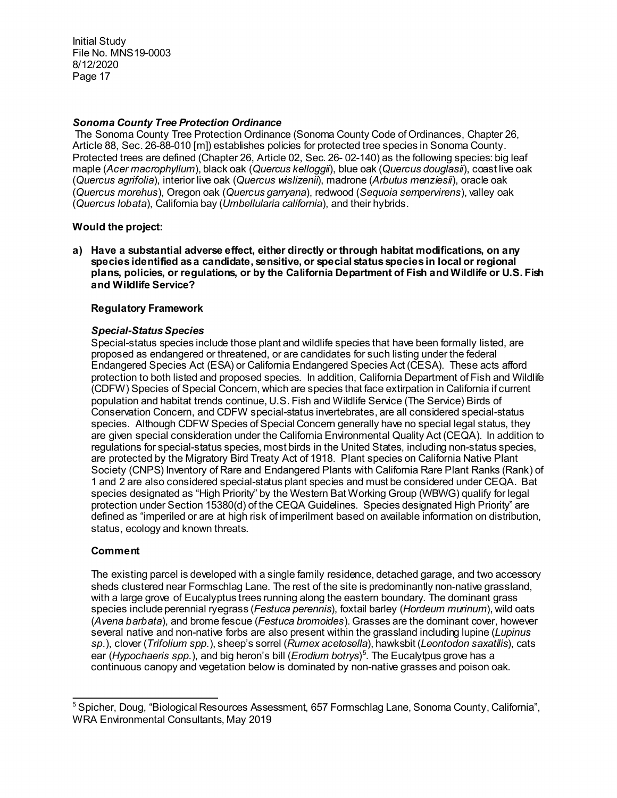# *Sonoma County Tree Protection Ordinance*

The Sonoma County Tree Protection Ordinance (Sonoma County Code of Ordinances, Chapter 26, Article 88, Sec. 26-88-010 [m]) establishes policies for protected tree species in Sonoma County. Protected trees are defined (Chapter 26, Article 02, Sec. 26- 02-140) as the following species: big leaf maple (*Acer macrophyllum*), black oak (*Quercus kelloggii*), blue oak (*Quercus douglasii*), coast live oak (*Quercus agrifolia*), interior live oak (*Quercus wislizenii*), madrone (*Arbutus menziesii*), oracle oak (*Quercus morehus*), Oregon oak (*Quercus garryana*), redwood (*Sequoia sempervirens*), valley oak (*Quercus lobata*), California bay (*Umbellularia california*), and their hybrids.

# **Would the project:**

**a) Have a substantial adverse effect, either directly or through habitat modifications, on any species identified as a candidate, sensitive, or special status species in local or regional plans, policies, or regulations, or by the California Department of Fish and Wildlife or U.S. Fish and Wildlife Service?**

# **Regulatory Framework**

# *Special-Status Species*

Special-status species include those plant and wildlife species that have been formally listed, are proposed as endangered or threatened, or are candidates for such listing under the federal Endangered Species Act (ESA) or California Endangered Species Act (CESA). These acts afford protection to both listed and proposed species. In addition, California Department of Fish and Wildlife (CDFW) Species of Special Concern, which are species that face extirpation in California if current population and habitat trends continue, U.S. Fish and Wildlife Service (The Service) Birds of Conservation Concern, and CDFW special-status invertebrates, are all considered special-status species. Although CDFW Species of Special Concern generally have no special legal status, they are given special consideration under the California Environmental Quality Act (CEQA). In addition to regulations for special-status species, most birds in the United States, including non-status species, are protected by the Migratory Bird Treaty Act of 1918. Plant species on California Native Plant Society (CNPS) Inventory of Rare and Endangered Plants with California Rare Plant Ranks (Rank) of 1 and 2 are also considered special-status plant species and must be considered under CEQA. Bat species designated as "High Priority" by the Western Bat Working Group (WBWG) qualify for legal protection under Section 15380(d) of the CEQA Guidelines. Species designated High Priority" are defined as "imperiled or are at high risk of imperilment based on available information on distribution, status, ecology and known threats.

# **Comment**

The existing parcel is developed with a single family residence, detached garage, and two accessory sheds clustered near Formschlag Lane. The rest of the site is predominantly non-native grassland, with a large grove of Eucalyptus trees running along the eastern boundary. The dominant grass species include perennial ryegrass (*Festuca perennis*), foxtail barley (*Hordeum murinum*), wild oats (*Avena barbata*), and brome fescue (*Festuca bromoides*). Grasses are the dominant cover, however several native and non-native forbs are also present within the grassland including lupine (*Lupinus sp*.), clover (*Trifolium spp*.), sheep's sorrel (*Rumex acetosella*), hawksbit (*Leontodon saxatilis*), cats ear (*Hypochaeris spp*.), and big heron's bill (*Erodium botrys*) [5](#page-16-0) . The Eucalytpus grove has a continuous canopy and vegetation below is dominated by non-native grasses and poison oak.

<span id="page-16-0"></span> $\overline{a}$ <sup>5</sup> Spicher, Doug, "Biological Resources Assessment, 657 Formschlag Lane, Sonoma County, California", WRA Environmental Consultants, May 2019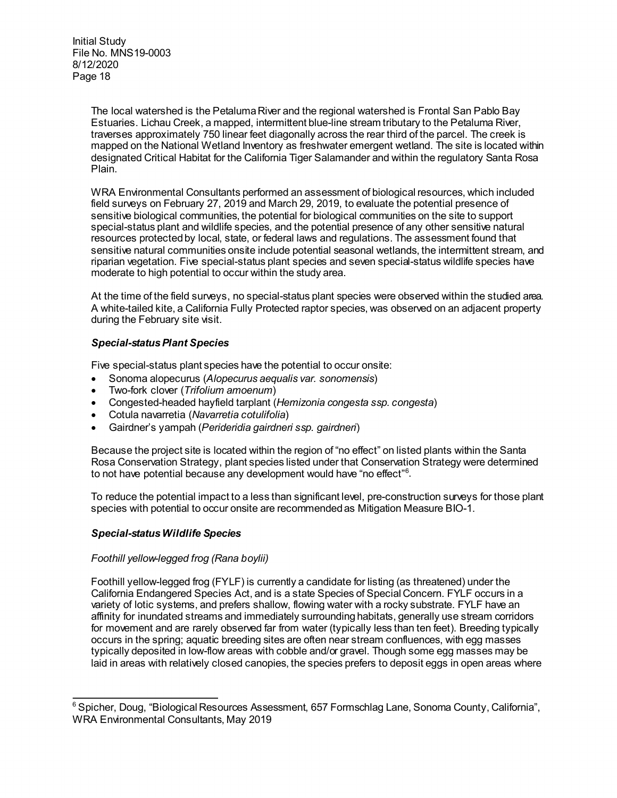> The local watershed is the Petaluma River and the regional watershed is Frontal San Pablo Bay Estuaries. Lichau Creek, a mapped, intermittent blue-line stream tributary to the Petaluma River, traverses approximately 750 linear feet diagonally across the rear third of the parcel. The creek is mapped on the National Wetland Inventory as freshwater emergent wetland. The site is located within designated Critical Habitat for the California Tiger Salamander and within the regulatory Santa Rosa Plain.

> WRA Environmental Consultants performed an assessment of biological resources, which included field surveys on February 27, 2019 and March 29, 2019, to evaluate the potential presence of sensitive biological communities, the potential for biological communities on the site to support special-status plant and wildlife species, and the potential presence of any other sensitive natural resources protected by local, state, or federal laws and regulations. The assessment found that sensitive natural communities onsite include potential seasonal wetlands, the intermittent stream, and riparian vegetation. Five special-status plant species and seven special-status wildlife species have moderate to high potential to occur within the study area.

> At the time of the field surveys, no special-status plant species were observed within the studied area. A white-tailed kite, a California Fully Protected raptor species, was observed on an adjacent property during the February site visit.

# *Special-status Plant Species*

Five special-status plant species have the potential to occur onsite:

- Sonoma alopecurus (*Alopecurus aequalis var. sonomensis*)
- Two-fork clover (*Trifolium amoenum*)
- Congested-headed hayfield tarplant (*Hemizonia congesta ssp. congesta*)
- Cotula navarretia (*Navarretia cotulifolia*)
- Gairdner's yampah (*Perideridia gairdneri ssp. gairdneri*)

Because the project site is located within the region of "no effect" on listed plants within the Santa Rosa Conservation Strategy, plant species listed under that Conservation Strategy were determined to not have potential because any development would have "no effect"[6](#page-17-0) .

To reduce the potential impact to a less than significant level, pre-construction surveys for those plant species with potential to occur onsite are recommended as Mitigation Measure BIO-1.

# *Special-status Wildlife Species*

### *Foothill yellow-legged frog (Rana boylii)*

Foothill yellow-legged frog (FYLF) is currently a candidate for listing (as threatened) under the California Endangered Species Act, and is a state Species of Special Concern. FYLF occurs in a variety of lotic systems, and prefers shallow, flowing water with a rocky substrate. FYLF have an affinity for inundated streams and immediately surrounding habitats, generally use stream corridors for movement and are rarely observed far from water (typically less than ten feet). Breeding typically occurs in the spring; aquatic breeding sites are often near stream confluences, with egg masses typically deposited in low-flow areas with cobble and/or gravel. Though some egg masses may be laid in areas with relatively closed canopies, the species prefers to deposit eggs in open areas where

<span id="page-17-0"></span> $\overline{a}$  $6$  Spicher, Doug, "Biological Resources Assessment, 657 Formschlag Lane, Sonoma County, California", WRA Environmental Consultants, May 2019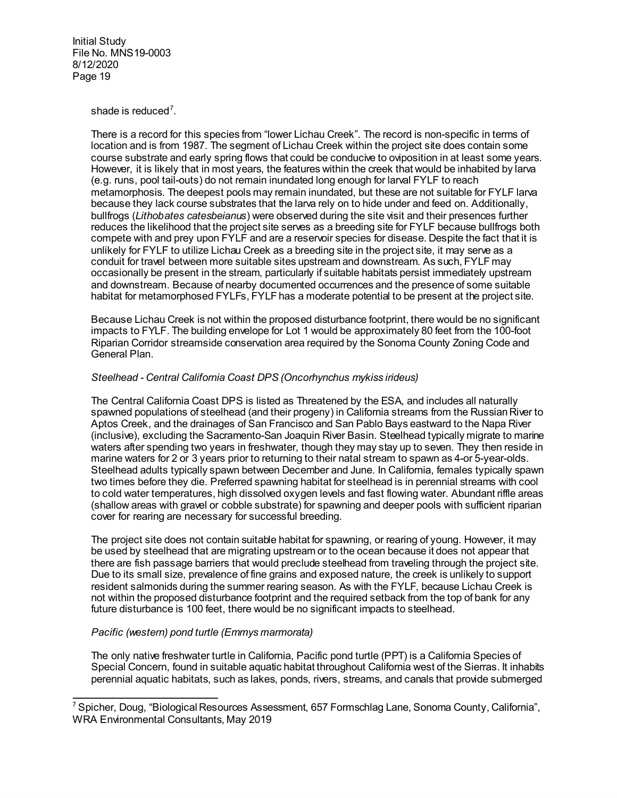shade is reduced $^7$  $^7$ .

There is a record for this species from "lower Lichau Creek". The record is non-specific in terms of location and is from 1987. The segment of Lichau Creek within the project site does contain some course substrate and early spring flows that could be conducive to oviposition in at least some years. However, it is likely that in most years, the features within the creek that would be inhabited by larva (e.g. runs, pool tail-outs) do not remain inundated long enough for larval FYLF to reach metamorphosis. The deepest pools may remain inundated, but these are not suitable for FYLF larva because they lack course substrates that the larva rely on to hide under and feed on. Additionally, bullfrogs (*Lithobates catesbeianus*) were observed during the site visit and their presences further reduces the likelihood that the project site serves as a breeding site for FYLF because bullfrogs both compete with and prey upon FYLF and are a reservoir species for disease. Despite the fact that it is unlikely for FYLF to utilize Lichau Creek as a breeding site in the project site, it may serve as a conduit for travel between more suitable sites upstream and downstream. As such, FYLF may occasionally be present in the stream, particularly if suitable habitats persist immediately upstream and downstream. Because of nearby documented occurrences and the presence of some suitable habitat for metamorphosed FYLFs, FYLF has a moderate potential to be present at the project site.

Because Lichau Creek is not within the proposed disturbance footprint, there would be no significant impacts to FYLF. The building envelope for Lot 1 would be approximately 80 feet from the 100-foot Riparian Corridor streamside conservation area required by the Sonoma County Zoning Code and General Plan.

# *Steelhead - Central California Coast DPS (Oncorhynchus mykiss irideus)*

The Central California Coast DPS is listed as Threatened by the ESA, and includes all naturally spawned populations of steelhead (and their progeny) in California streams from the Russian River to Aptos Creek, and the drainages of San Francisco and San Pablo Bays eastward to the Napa River (inclusive), excluding the Sacramento-San Joaquin River Basin. Steelhead typically migrate to marine waters after spending two years in freshwater, though they may stay up to seven. They then reside in marine waters for 2 or 3 years prior to returning to their natal stream to spawn as 4-or 5-year-olds. Steelhead adults typically spawn between December and June. In California, females typically spawn two times before they die. Preferred spawning habitat for steelhead is in perennial streams with cool to cold water temperatures, high dissolved oxygen levels and fast flowing water. Abundant riffle areas (shallow areas with gravel or cobble substrate) for spawning and deeper pools with sufficient riparian cover for rearing are necessary for successful breeding.

The project site does not contain suitable habitat for spawning, or rearing of young. However, it may be used by steelhead that are migrating upstream or to the ocean because it does not appear that there are fish passage barriers that would preclude steelhead from traveling through the project site. Due to its small size, prevalence of fine grains and exposed nature, the creek is unlikely to support resident salmonids during the summer rearing season. As with the FYLF, because Lichau Creek is not within the proposed disturbance footprint and the required setback from the top of bank for any future disturbance is 100 feet, there would be no significant impacts to steelhead.

# *Pacific (western) pond turtle (Emmys marmorata)*

The only native freshwater turtle in California, Pacific pond turtle (PPT) is a California Species of Special Concern, found in suitable aquatic habitat throughout California west of the Sierras. It inhabits perennial aquatic habitats, such as lakes, ponds, rivers, streams, and canals that provide submerged

<span id="page-18-0"></span> $\overline{a}$ <sup>7</sup> Spicher, Doug, "Biological Resources Assessment, 657 Formschlag Lane, Sonoma County, California", WRA Environmental Consultants, May 2019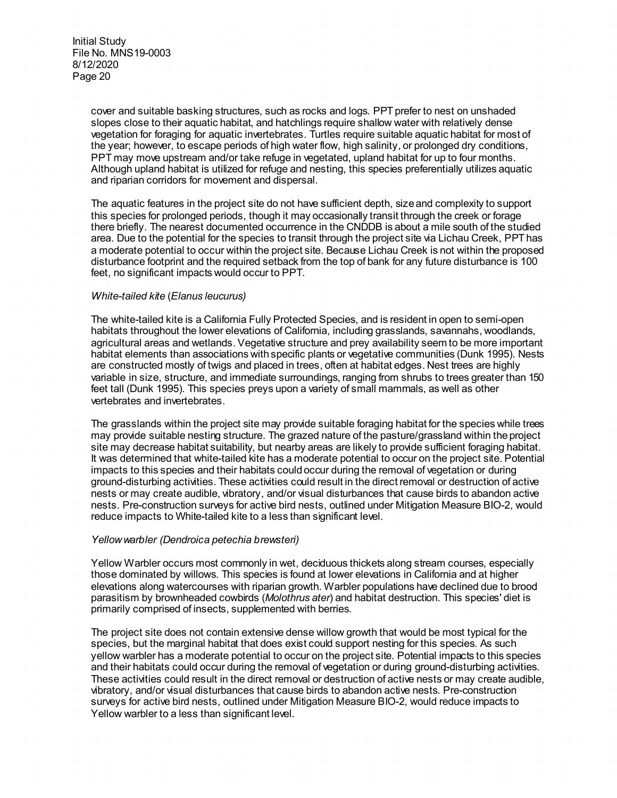cover and suitable basking structures, such as rocks and logs. PPT prefer to nest on unshaded slopes close to their aquatic habitat, and hatchlings require shallow water with relatively dense vegetation for foraging for aquatic invertebrates. Turtles require suitable aquatic habitat for most of the year; however, to escape periods of high water flow, high salinity, or prolonged dry conditions, PPT may move upstream and/or take refuge in vegetated, upland habitat for up to four months. Although upland habitat is utilized for refuge and nesting, this species preferentially utilizes aquatic and riparian corridors for movement and dispersal.

The aquatic features in the project site do not have sufficient depth, size and complexity to support this species for prolonged periods, though it may occasionally transit through the creek or forage there briefly. The nearest documented occurrence in the CNDDB is about a mile south of the studied area. Due to the potential for the species to transit through the project site via Lichau Creek, PPT has a moderate potential to occur within the project site. Because Lichau Creek is not within the proposed disturbance footprint and the required setback from the top of bank for any future disturbance is 100 feet, no significant impacts would occur to PPT.

# *White-tailed kite* (*Elanus leucurus)*

The white-tailed kite is a California Fully Protected Species, and is resident in open to semi-open habitats throughout the lower elevations of California, including grasslands, savannahs, woodlands, agricultural areas and wetlands. Vegetative structure and prey availability seem to be more important habitat elements than associations with specific plants or vegetative communities (Dunk 1995). Nests are constructed mostly of twigs and placed in trees, often at habitat edges. Nest trees are highly variable in size, structure, and immediate surroundings, ranging from shrubs to trees greater than 150 feet tall (Dunk 1995). This species preys upon a variety of small mammals, as well as other vertebrates and invertebrates.

The grasslands within the project site may provide suitable foraging habitat for the species while trees may provide suitable nesting structure. The grazed nature of the pasture/grassland within the project site may decrease habitat suitability, but nearby areas are likely to provide sufficient foraging habitat. It was determined that white-tailed kite has a moderate potential to occur on the project site. Potential impacts to this species and their habitats could occur during the removal of vegetation or during ground-disturbing activities. These activities could result in the direct removal or destruction of active nests or may create audible, vibratory, and/or visual disturbances that cause birds to abandon active nests. Pre-construction surveys for active bird nests, outlined under Mitigation Measure BIO-2, would reduce impacts to White-tailed kite to a less than significant level.

### *Yellow warbler (Dendroica petechia brewsteri)*

Yellow Warbler occurs most commonly in wet, deciduous thickets along stream courses, especially those dominated by willows. This species is found at lower elevations in California and at higher elevations along watercourses with riparian growth. Warbler populations have declined due to brood parasitism by brownheaded cowbirds (*Molothrus ater*) and habitat destruction. This species' diet is primarily comprised of insects, supplemented with berries.

The project site does not contain extensive dense willow growth that would be most typical for the species, but the marginal habitat that does exist could support nesting for this species. As such yellow warbler has a moderate potential to occur on the project site. Potential impacts to this species and their habitats could occur during the removal of vegetation or during ground-disturbing activities. These activities could result in the direct removal or destruction of active nests or may create audible, vibratory, and/or visual disturbances that cause birds to abandon active nests. Pre-construction surveys for active bird nests, outlined under Mitigation Measure BIO-2, would reduce impacts to Yellow warbler to a less than significant level.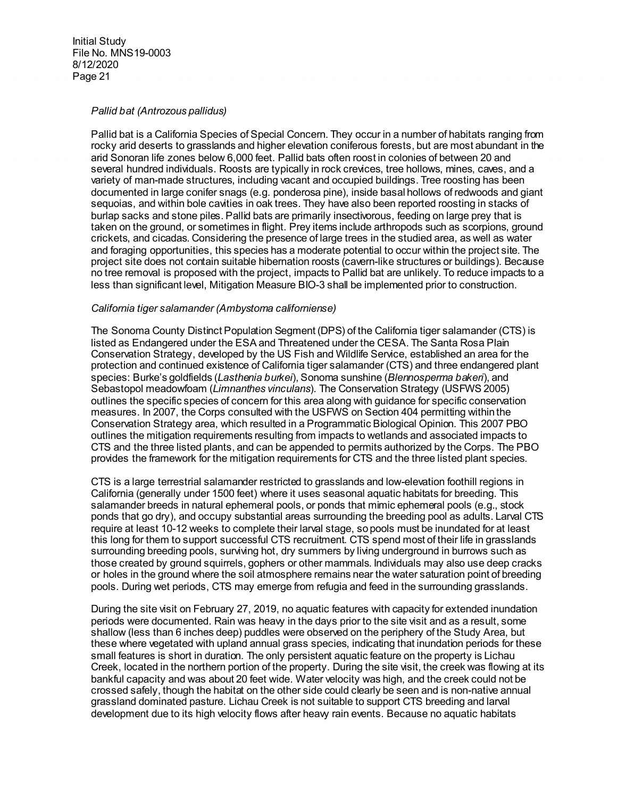### *Pallid bat (Antrozous pallidus)*

Pallid bat is a California Species of Special Concern. They occur in a number of habitats ranging from rocky arid deserts to grasslands and higher elevation coniferous forests, but are most abundant in the arid Sonoran life zones below 6,000 feet. Pallid bats often roost in colonies of between 20 and several hundred individuals. Roosts are typically in rock crevices, tree hollows, mines, caves, and a variety of man-made structures, including vacant and occupied buildings. Tree roosting has been documented in large conifer snags (e.g. ponderosa pine), inside basal hollows of redwoods and giant sequoias, and within bole cavities in oak trees. They have also been reported roosting in stacks of burlap sacks and stone piles. Pallid bats are primarily insectivorous, feeding on large prey that is taken on the ground, or sometimes in flight. Prey items include arthropods such as scorpions, ground crickets, and cicadas. Considering the presence of large trees in the studied area, as well as water and foraging opportunities, this species has a moderate potential to occur within the project site. The project site does not contain suitable hibernation roosts (cavern-like structures or buildings). Because no tree removal is proposed with the project, impacts to Pallid bat are unlikely. To reduce impacts to a less than significant level, Mitigation Measure BIO-3 shall be implemented prior to construction.

# *California tiger salamander (Ambystoma californiense)*

The Sonoma County Distinct Population Segment (DPS) of the California tiger salamander (CTS) is listed as Endangered under the ESA and Threatened under the CESA. The Santa Rosa Plain Conservation Strategy, developed by the US Fish and Wildlife Service, established an area for the protection and continued existence of California tiger salamander (CTS) and three endangered plant species: Burke's goldfields (*Lasthenia burkei*), Sonoma sunshine (*Blennosperma bakeri*), and Sebastopol meadowfoam (*Limnanthes vinculans*). The Conservation Strategy (USFWS 2005) outlines the specific species of concern for this area along with guidance for specific conservation measures. In 2007, the Corps consulted with the USFWS on Section 404 permitting within the Conservation Strategy area, which resulted in a Programmatic Biological Opinion. This 2007 PBO outlines the mitigation requirements resulting from impacts to wetlands and associated impacts to CTS and the three listed plants, and can be appended to permits authorized by the Corps. The PBO provides the framework for the mitigation requirements for CTS and the three listed plant species.

CTS is a large terrestrial salamander restricted to grasslands and low-elevation foothill regions in California (generally under 1500 feet) where it uses seasonal aquatic habitats for breeding. This salamander breeds in natural ephemeral pools, or ponds that mimic ephemeral pools (e.g., stock ponds that go dry), and occupy substantial areas surrounding the breeding pool as adults. Larval CTS require at least 10-12 weeks to complete their larval stage, so pools must be inundated for at least this long for them to support successful CTS recruitment. CTS spend most of their life in grasslands surrounding breeding pools, surviving hot, dry summers by living underground in burrows such as those created by ground squirrels, gophers or other mammals. Individuals may also use deep cracks or holes in the ground where the soil atmosphere remains near the water saturation point of breeding pools. During wet periods, CTS may emerge from refugia and feed in the surrounding grasslands.

During the site visit on February 27, 2019, no aquatic features with capacity for extended inundation periods were documented. Rain was heavy in the days prior to the site visit and as a result, some shallow (less than 6 inches deep) puddles were observed on the periphery of the Study Area, but these where vegetated with upland annual grass species, indicating that inundation periods for these small features is short in duration. The only persistent aquatic feature on the property is Lichau Creek, located in the northern portion of the property. During the site visit, the creek was flowing at its bankful capacity and was about 20 feet wide. Water velocity was high, and the creek could not be crossed safely, though the habitat on the other side could clearly be seen and is non-native annual grassland dominated pasture. Lichau Creek is not suitable to support CTS breeding and larval development due to its high velocity flows after heavy rain events. Because no aquatic habitats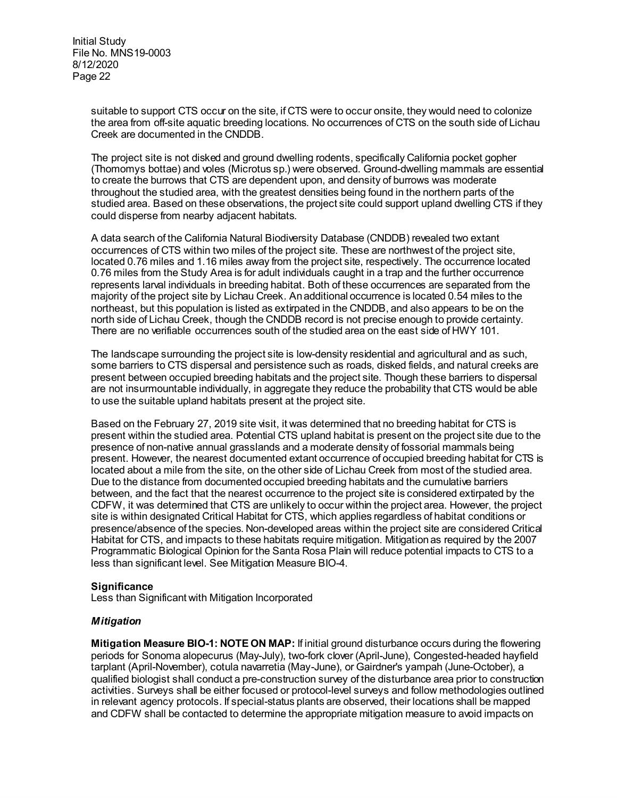> suitable to support CTS occur on the site, if CTS were to occur onsite, they would need to colonize the area from off-site aquatic breeding locations. No occurrences of CTS on the south side of Lichau Creek are documented in the CNDDB.

> The project site is not disked and ground dwelling rodents, specifically California pocket gopher (Thomomys bottae) and voles (Microtus sp.) were observed. Ground-dwelling mammals are essential to create the burrows that CTS are dependent upon, and density of burrows was moderate throughout the studied area, with the greatest densities being found in the northern parts of the studied area. Based on these observations, the project site could support upland dwelling CTS if they could disperse from nearby adjacent habitats.

A data search of the California Natural Biodiversity Database (CNDDB) revealed two extant occurrences of CTS within two miles of the project site. These are northwest of the project site, located 0.76 miles and 1.16 miles away from the project site, respectively. The occurrence located 0.76 miles from the Study Area is for adult individuals caught in a trap and the further occurrence represents larval individuals in breeding habitat. Both of these occurrences are separated from the majority of the project site by Lichau Creek. An additional occurrence is located 0.54 miles to the northeast, but this population is listed as extirpated in the CNDDB, and also appears to be on the north side of Lichau Creek, though the CNDDB record is not precise enough to provide certainty. There are no verifiable occurrences south of the studied area on the east side of HWY 101.

The landscape surrounding the project site is low-density residential and agricultural and as such, some barriers to CTS dispersal and persistence such as roads, disked fields, and natural creeks are present between occupied breeding habitats and the project site. Though these barriers to dispersal are not insurmountable individually, in aggregate they reduce the probability that CTS would be able to use the suitable upland habitats present at the project site.

Based on the February 27, 2019 site visit, it was determined that no breeding habitat for CTS is present within the studied area. Potential CTS upland habitat is present on the project site due to the presence of non-native annual grasslands and a moderate density of fossorial mammals being present. However, the nearest documented extant occurrence of occupied breeding habitat for CTS is located about a mile from the site, on the other side of Lichau Creek from most of the studied area. Due to the distance from documented occupied breeding habitats and the cumulative barriers between, and the fact that the nearest occurrence to the project site is considered extirpated by the CDFW, it was determined that CTS are unlikely to occur within the project area. However, the project site is within designated Critical Habitat for CTS, which applies regardless of habitat conditions or presence/absence of the species. Non-developed areas within the project site are considered Critical Habitat for CTS, and impacts to these habitats require mitigation. Mitigation as required by the 2007 Programmatic Biological Opinion for the Santa Rosa Plain will reduce potential impacts to CTS to a less than significant level. See Mitigation Measure BIO-4.

# **Significance**

Less than Significant with Mitigation Incorporated

### *Mitigation*

**Mitigation Measure BIO-1: NOTE ON MAP:** If initial ground disturbance occurs during the flowering periods for Sonoma alopecurus (May-July), two-fork clover (April-June), Congested-headed hayfield tarplant (April-November), cotula navarretia (May-June), or Gairdner's yampah (June-October), a qualified biologist shall conduct a pre-construction survey of the disturbance area prior to construction activities. Surveys shall be either focused or protocol-level surveys and follow methodologies outlined in relevant agency protocols. If special-status plants are observed, their locations shall be mapped and CDFW shall be contacted to determine the appropriate mitigation measure to avoid impacts on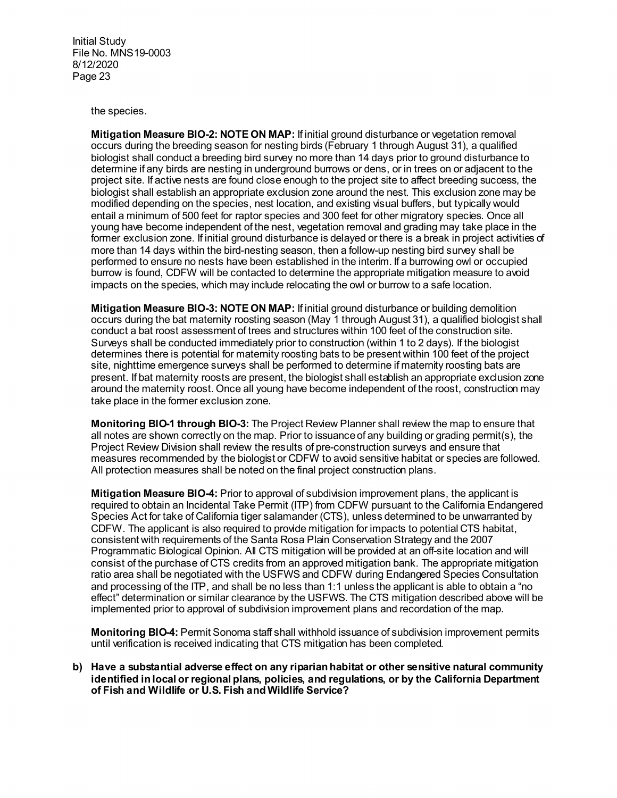the species.

**Mitigation Measure BIO-2: NOTE ON MAP:** If initial ground disturbance or vegetation removal occurs during the breeding season for nesting birds (February 1 through August 31), a qualified biologist shall conduct a breeding bird survey no more than 14 days prior to ground disturbance to determine if any birds are nesting in underground burrows or dens, or in trees on or adjacent to the project site. If active nests are found close enough to the project site to affect breeding success, the biologist shall establish an appropriate exclusion zone around the nest. This exclusion zone may be modified depending on the species, nest location, and existing visual buffers, but typically would entail a minimum of 500 feet for raptor species and 300 feet for other migratory species. Once all young have become independent of the nest, vegetation removal and grading may take place in the former exclusion zone. If initial ground disturbance is delayed or there is a break in project activities of more than 14 days within the bird-nesting season, then a follow-up nesting bird survey shall be performed to ensure no nests have been established in the interim. If a burrowing owl or occupied burrow is found, CDFW will be contacted to determine the appropriate mitigation measure to avoid impacts on the species, which may include relocating the owl or burrow to a safe location.

**Mitigation Measure BIO-3: NOTE ON MAP:** If initial ground disturbance or building demolition occurs during the bat maternity roosting season (May 1 through August 31), a qualified biologist shall conduct a bat roost assessment of trees and structures within 100 feet of the construction site. Surveys shall be conducted immediately prior to construction (within 1 to 2 days). If the biologist determines there is potential for maternity roosting bats to be present within 100 feet of the project site, nighttime emergence surveys shall be performed to determine if maternity roosting bats are present. If bat maternity roosts are present, the biologist shall establish an appropriate exclusion zone around the maternity roost. Once all young have become independent of the roost, construction may take place in the former exclusion zone.

**Monitoring BIO-1 through BIO-3:** The Project Review Planner shall review the map to ensure that all notes are shown correctly on the map. Prior to issuance of any building or grading permit(s), the Project Review Division shall review the results of pre-construction surveys and ensure that measures recommended by the biologist or CDFW to avoid sensitive habitat or species are followed. All protection measures shall be noted on the final project construction plans.

**Mitigation Measure BIO-4:** Prior to approval of subdivision improvement plans, the applicant is required to obtain an Incidental Take Permit (ITP) from CDFW pursuant to the California Endangered Species Act for take of California tiger salamander (CTS), unless determined to be unwarranted by CDFW. The applicant is also required to provide mitigation for impacts to potential CTS habitat, consistent with requirements of the Santa Rosa Plain Conservation Strategy and the 2007 Programmatic Biological Opinion. All CTS mitigation will be provided at an off-site location and will consist of the purchase of CTS credits from an approved mitigation bank. The appropriate mitigation ratio area shall be negotiated with the USFWS and CDFW during Endangered Species Consultation and processing of the ITP, and shall be no less than 1:1 unless the applicant is able to obtain a "no effect" determination or similar clearance by the USFWS. The CTS mitigation described above will be implemented prior to approval of subdivision improvement plans and recordation of the map.

**Monitoring BIO-4:** Permit Sonoma staff shall withhold issuance of subdivision improvement permits until verification is received indicating that CTS mitigation has been completed.

**b) Have a substantial adverse effect on any riparian habitat or other sensitive natural community identified in local or regional plans, policies, and regulations, or by the California Department of Fish and Wildlife or U.S. Fish and Wildlife Service?**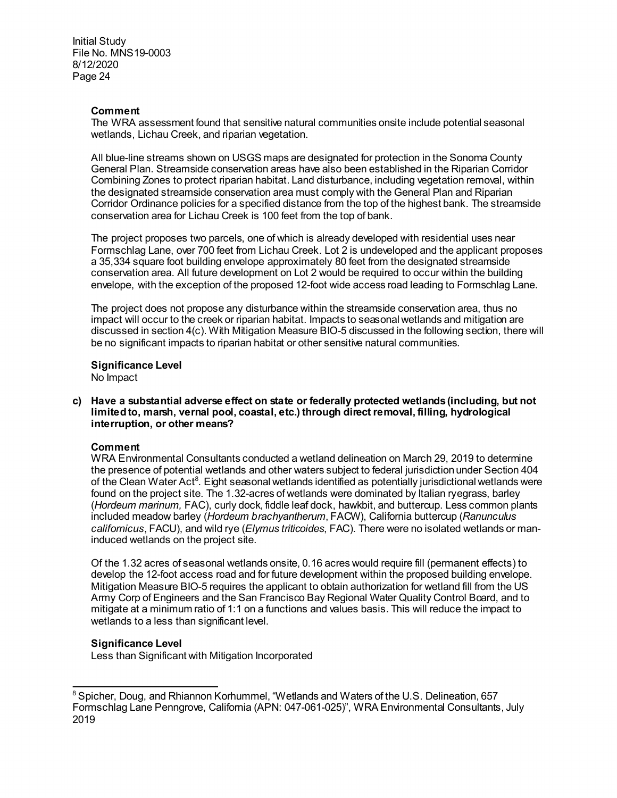# **Comment**

The WRA assessment found that sensitive natural communities onsite include potential seasonal wetlands, Lichau Creek, and riparian vegetation.

All blue-line streams shown on USGS maps are designated for protection in the Sonoma County General Plan. Streamside conservation areas have also been established in the Riparian Corridor Combining Zones to protect riparian habitat. Land disturbance, including vegetation removal, within the designated streamside conservation area must comply with the General Plan and Riparian Corridor Ordinance policies for a specified distance from the top of the highest bank. The streamside conservation area for Lichau Creek is 100 feet from the top of bank.

The project proposes two parcels, one of which is already developed with residential uses near Formschlag Lane, over 700 feet from Lichau Creek. Lot 2 is undeveloped and the applicant proposes a 35,334 square foot building envelope approximately 80 feet from the designated streamside conservation area. All future development on Lot 2 would be required to occur within the building envelope, with the exception of the proposed 12-foot wide access road leading to Formschlag Lane.

The project does not propose any disturbance within the streamside conservation area, thus no impact will occur to the creek or riparian habitat. Impacts to seasonal wetlands and mitigation are discussed in section 4(c). With Mitigation Measure BIO-5 discussed in the following section, there will be no significant impacts to riparian habitat or other sensitive natural communities.

**Significance Level**  No Impact

**c) Have a substantial adverse effect on state or federally protected wetlands (including, but not limited to, marsh, vernal pool, coastal, etc.) through direct removal, filling, hydrological interruption, or other means?**

# **Comment**

WRA Environmental Consultants conducted a wetland delineation on March 29, 2019 to determine the presence of potential wetlands and other waters subject to federal jurisdiction under Section 404 of the Clean Water Act $^8$  $^8$ . Eight seasonal wetlands identified as potentially jurisdictional wetlands were found on the project site. The 1.32-acres of wetlands were dominated by Italian ryegrass, barley (*Hordeum marinum,* FAC), curly dock, fiddle leaf dock, hawkbit, and buttercup. Less common plants included meadow barley (*Hordeum brachyantherum*, FACW), California buttercup (*Ranunculus californicus*, FACU), and wild rye (*Elymus triticoides*, FAC). There were no isolated wetlands or maninduced wetlands on the project site.

Of the 1.32 acres of seasonal wetlands onsite, 0.16 acres would require fill (permanent effects) to develop the 12-foot access road and for future development within the proposed building envelope. Mitigation Measure BIO-5 requires the applicant to obtain authorization for wetland fill from the US Army Corp of Engineers and the San Francisco Bay Regional Water Quality Control Board, and to mitigate at a minimum ratio of 1:1 on a functions and values basis. This will reduce the impact to wetlands to a less than significant level.

### **Significance Level**

Less than Significant with Mitigation Incorporated

<span id="page-23-0"></span> $\overline{a}$ <sup>8</sup> Spicher, Doug, and Rhiannon Korhummel, "Wetlands and Waters of the U.S. Delineation, 657 Formschlag Lane Penngrove, California (APN: 047-061-025)", WRA Environmental Consultants, July 2019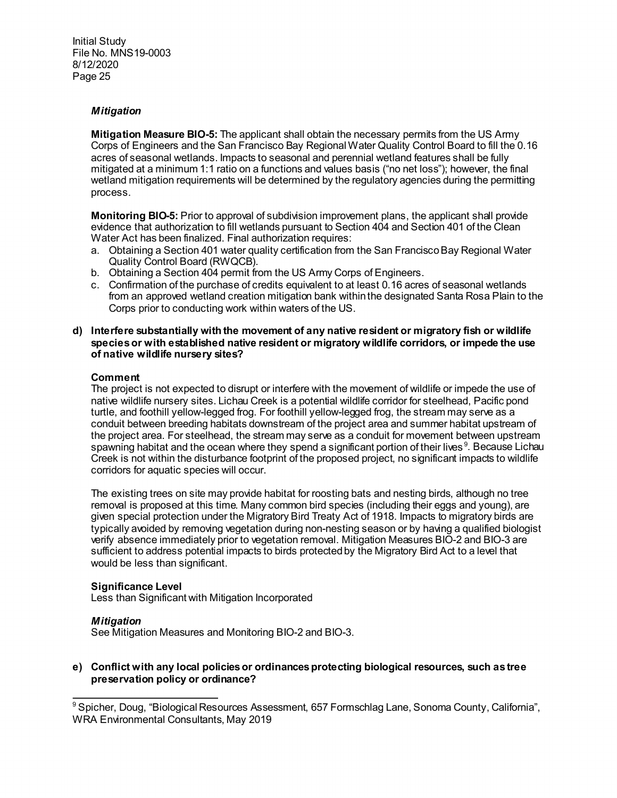# *Mitigation*

**Mitigation Measure BIO-5:** The applicant shall obtain the necessary permits from the US Army Corps of Engineers and the San Francisco Bay Regional Water Quality Control Board to fill the 0.16 acres of seasonal wetlands. Impacts to seasonal and perennial wetland features shall be fully mitigated at a minimum 1:1 ratio on a functions and values basis ("no net loss"); however, the final wetland mitigation requirements will be determined by the regulatory agencies during the permitting process.

**Monitoring BIO-5:** Prior to approval of subdivision improvement plans, the applicant shall provide evidence that authorization to fill wetlands pursuant to Section 404 and Section 401 of the Clean Water Act has been finalized. Final authorization requires:

- a. Obtaining a Section 401 water quality certification from the San Francisco Bay Regional Water Quality Control Board (RWQCB).
- b. Obtaining a Section 404 permit from the US Army Corps of Engineers.
- c. Confirmation of the purchase of credits equivalent to at least 0.16 acres of seasonal wetlands from an approved wetland creation mitigation bank within the designated Santa Rosa Plain to the Corps prior to conducting work within waters of the US.
- **d) Interfere substantially with the movement of any native resident or migratory fish or wildlife species or with established native resident or migratory wildlife corridors, or impede the use of native wildlife nursery sites?**

### **Comment**

The project is not expected to disrupt or interfere with the movement of wildlife or impede the use of native wildlife nursery sites. Lichau Creek is a potential wildlife corridor for steelhead, Pacific pond turtle, and foothill yellow-legged frog. For foothill yellow-legged frog, the stream may serve as a conduit between breeding habitats downstream of the project area and summer habitat upstream of the project area. For steelhead, the stream may serve as a conduit for movement between upstream spawning habitat and the ocean where they spend a significant portion of their lives $^9$  $^9$ . Because Lichau Creek is not within the disturbance footprint of the proposed project, no significant impacts to wildlife corridors for aquatic species will occur.

The existing trees on site may provide habitat for roosting bats and nesting birds, although no tree removal is proposed at this time. Many common bird species (including their eggs and young), are given special protection under the Migratory Bird Treaty Act of 1918. Impacts to migratory birds are typically avoided by removing vegetation during non-nesting season or by having a qualified biologist verify absence immediately prior to vegetation removal. Mitigation Measures BIO-2 and BIO-3 are sufficient to address potential impacts to birds protected by the Migratory Bird Act to a level that would be less than significant.

### **Significance Level**

Less than Significant with Mitigation Incorporated

### *Mitigation*

See Mitigation Measures and Monitoring BIO-2 and BIO-3.

# **e) Conflict with any local policies or ordinances protecting biological resources, such as tree preservation policy or ordinance?**

<span id="page-24-0"></span> $\overline{a}$  $^9$ Spicher, Doug, "Biological Resources Assessment, 657 Formschlag Lane, Sonoma County, California", WRA Environmental Consultants, May 2019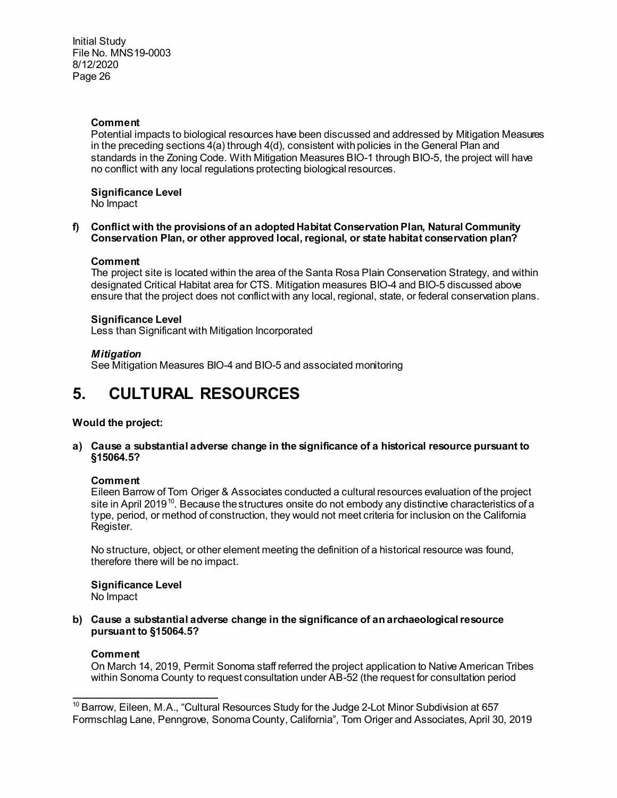# **Comment**

Potential impacts to biological resources have been discussed and addressed by Mitigation Measures in the preceding sections 4(a) through 4(d), consistent with policies in the General Plan and standards in the Zoning Code. With Mitigation Measures BIO-1 through BIO-5, the project will have no conflict with any local regulations protecting biological resources.

# **Significance Level**

No Impact

### **f) Conflict with the provisions of an adopted Habitat Conservation Plan, Natural Community Conservation Plan, or other approved local, regional, or state habitat conservation plan?**

# **Comment**

The project site is located within the area of the Santa Rosa Plain Conservation Strategy, and within designated Critical Habitat area for CTS. Mitigation measures BIO-4 and BIO-5 discussed above ensure that the project does not conflict with any local, regional, state, or federal conservation plans.

# **Significance Level**

Less than Significant with Mitigation Incorporated

# *Mitigation*

See Mitigation Measures BIO-4 and BIO-5 and associated monitoring

# **5. CULTURAL RESOURCES**

# **Would the project:**

**a) Cause a substantial adverse change in the significance of a historical resource pursuant to §15064.5?**

### **Comment**

Eileen Barrow of Tom Origer & Associates conducted a cultural resources evaluation of the project site in April 2019<sup>10</sup>. Because the structures onsite do not embody any distinctive characteristics of a type, period, or method of construction, they would not meet criteria for inclusion on the California Register.

No structure, object, or other element meeting the definition of a historical resource was found, therefore there will be no impact.

**Significance Level** No Impact

**b) Cause a substantial adverse change in the significance of an archaeological resource pursuant to §15064.5?**

### **Comment**

On March 14, 2019, Permit Sonoma staff referred the project application to Native American Tribes within Sonoma County to request consultation under AB-52 (the request for consultation period

<span id="page-25-0"></span> $\overline{a}$  $10$  Barrow, Eileen, M.A., "Cultural Resources Study for the Judge 2-Lot Minor Subdivision at 657 Formschlag Lane, Penngrove, Sonoma County, California", Tom Origer and Associates, April 30, 2019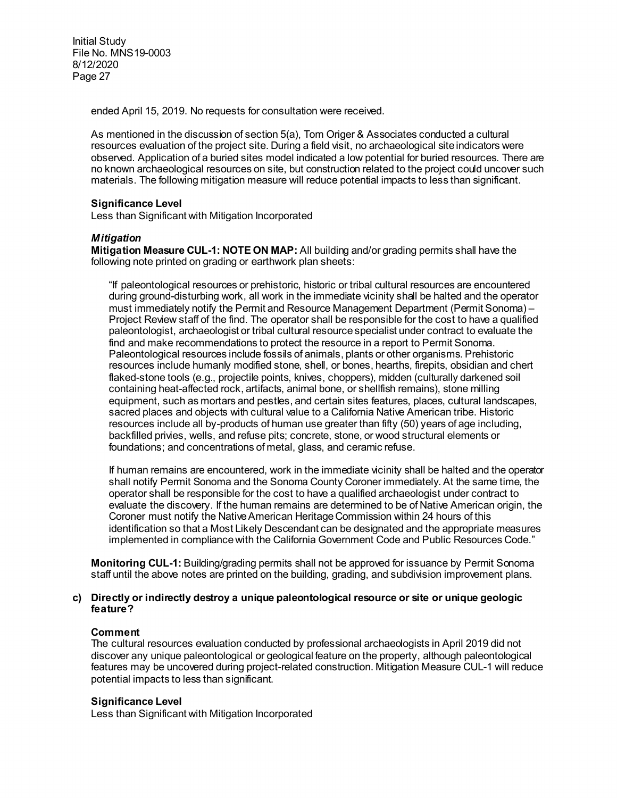ended April 15, 2019. No requests for consultation were received.

As mentioned in the discussion of section 5(a), Tom Origer & Associates conducted a cultural resources evaluation of the project site. During a field visit, no archaeological site indicators were observed. Application of a buried sites model indicated a low potential for buried resources. There are no known archaeological resources on site, but construction related to the project could uncover such materials. The following mitigation measure will reduce potential impacts to less than significant.

# **Significance Level**

Less than Significant with Mitigation Incorporated

# *Mitigation*

**Mitigation Measure CUL-1: NOTE ON MAP:** All building and/or grading permits shall have the following note printed on grading or earthwork plan sheets:

"If paleontological resources or prehistoric, historic or tribal cultural resources are encountered during ground-disturbing work, all work in the immediate vicinity shall be halted and the operator must immediately notify the Permit and Resource Management Department (Permit Sonoma) – Project Review staff of the find. The operator shall be responsible for the cost to have a qualified paleontologist, archaeologist or tribal cultural resource specialist under contract to evaluate the find and make recommendations to protect the resource in a report to Permit Sonoma. Paleontological resources include fossils of animals, plants or other organisms. Prehistoric resources include humanly modified stone, shell, or bones, hearths, firepits, obsidian and chert flaked-stone tools (e.g., projectile points, knives, choppers), midden (culturally darkened soil containing heat-affected rock, artifacts, animal bone, or shellfish remains), stone milling equipment, such as mortars and pestles, and certain sites features, places, cultural landscapes, sacred places and objects with cultural value to a California Native American tribe. Historic resources include all by-products of human use greater than fifty (50) years of age including, backfilled privies, wells, and refuse pits; concrete, stone, or wood structural elements or foundations; and concentrations of metal, glass, and ceramic refuse.

If human remains are encountered, work in the immediate vicinity shall be halted and the operator shall notify Permit Sonoma and the Sonoma County Coroner immediately. At the same time, the operator shall be responsible for the cost to have a qualified archaeologist under contract to evaluate the discovery. If the human remains are determined to be of Native American origin, the Coroner must notify the Native American Heritage Commission within 24 hours of this identification so that a Most Likely Descendant can be designated and the appropriate measures implemented in compliance with the California Government Code and Public Resources Code."

**Monitoring CUL-1:** Building/grading permits shall not be approved for issuance by Permit Sonoma staff until the above notes are printed on the building, grading, and subdivision improvement plans.

#### **c) Directly or indirectly destroy a unique paleontological resource or site or unique geologic feature?**

### **Comment**

The cultural resources evaluation conducted by professional archaeologists in April 2019 did not discover any unique paleontological or geological feature on the property, although paleontological features may be uncovered during project-related construction. Mitigation Measure CUL-1 will reduce potential impacts to less than significant.

### **Significance Level**

Less than Significant with Mitigation Incorporated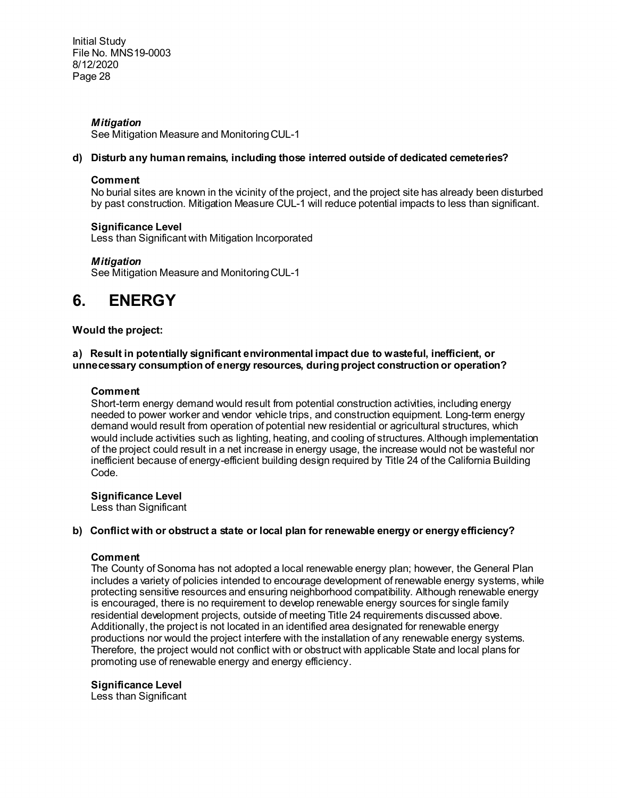# *Mitigation*

See Mitigation Measure and Monitoring CUL-1

# **d) Disturb any human remains, including those interred outside of dedicated cemeteries?**

### **Comment**

No burial sites are known in the vicinity of the project, and the project site has already been disturbed by past construction. Mitigation Measure CUL-1 will reduce potential impacts to less than significant.

# **Significance Level**

Less than Significant with Mitigation Incorporated

# *Mitigation*

See Mitigation Measure and Monitoring CUL-1

# **6. ENERGY**

# **Would the project:**

# **a) Result in potentially significant environmental impact due to wasteful, inefficient, or unnecessary consumption of energy resources, during project construction or operation?**

# **Comment**

Short-term energy demand would result from potential construction activities, including energy needed to power worker and vendor vehicle trips, and construction equipment. Long-term energy demand would result from operation of potential new residential or agricultural structures, which would include activities such as lighting, heating, and cooling of structures. Although implementation of the project could result in a net increase in energy usage, the increase would not be wasteful nor inefficient because of energy-efficient building design required by Title 24 of the California Building Code.

### **Significance Level**

Less than Significant

### **b) Conflict with or obstruct a state or local plan for renewable energy or energy efficiency?**

# **Comment**

The County of Sonoma has not adopted a local renewable energy plan; however, the General Plan includes a variety of policies intended to encourage development of renewable energy systems, while protecting sensitive resources and ensuring neighborhood compatibility. Although renewable energy is encouraged, there is no requirement to develop renewable energy sources for single family residential development projects, outside of meeting Title 24 requirements discussed above. Additionally, the project is not located in an identified area designated for renewable energy productions nor would the project interfere with the installation of any renewable energy systems. Therefore, the project would not conflict with or obstruct with applicable State and local plans for promoting use of renewable energy and energy efficiency.

# **Significance Level**

Less than Significant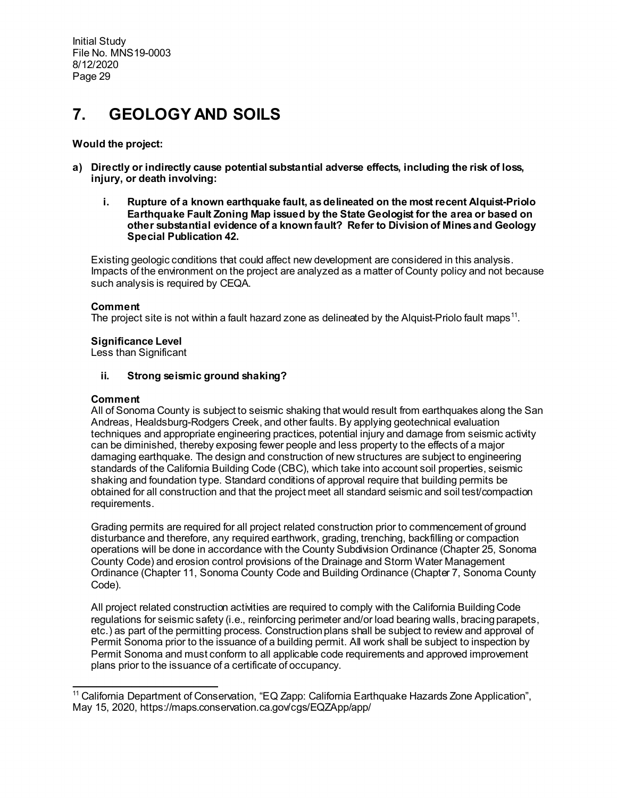# **7. GEOLOGY AND SOILS**

# **Would the project:**

- **a) Directly or indirectly cause potential substantial adverse effects, including the risk of loss, injury, or death involving:**
	- **i. Rupture of a known earthquake fault, as delineated on the most recent Alquist-Priolo Earthquake Fault Zoning Map issued by the State Geologist for the area or based on other substantial evidence of a known fault? Refer to Division of Mines and Geology Special Publication 42.**

Existing geologic conditions that could affect new development are considered in this analysis. Impacts of the environment on the project are analyzed as a matter of County policy and not because such analysis is required by CEQA.

# **Comment**

The project site is not within a fault hazard zone as delineated by the Alquist-Priolo fault maps<sup>11</sup>.

# **Significance Level**

Less than Significant

# **ii. Strong seismic ground shaking?**

### **Comment**

All of Sonoma County is subject to seismic shaking that would result from earthquakes along the San Andreas, Healdsburg-Rodgers Creek, and other faults. By applying geotechnical evaluation techniques and appropriate engineering practices, potential injury and damage from seismic activity can be diminished, thereby exposing fewer people and less property to the effects of a major damaging earthquake. The design and construction of new structures are subject to engineering standards of the California Building Code (CBC), which take into account soil properties, seismic shaking and foundation type. Standard conditions of approval require that building permits be obtained for all construction and that the project meet all standard seismic and soil test/compaction requirements.

Grading permits are required for all project related construction prior to commencement of ground disturbance and therefore, any required earthwork, grading, trenching, backfilling or compaction operations will be done in accordance with the County Subdivision Ordinance (Chapter 25, Sonoma County Code) and erosion control provisions of the Drainage and Storm Water Management Ordinance (Chapter 11, Sonoma County Code and Building Ordinance (Chapter 7, Sonoma County Code).

All project related construction activities are required to comply with the California Building Code regulations for seismic safety (i.e., reinforcing perimeter and/or load bearing walls, bracing parapets, etc.) as part of the permitting process. Construction plans shall be subject to review and approval of Permit Sonoma prior to the issuance of a building permit. All work shall be subject to inspection by Permit Sonoma and must conform to all applicable code requirements and approved improvement plans prior to the issuance of a certificate of occupancy.

<span id="page-28-0"></span> $\overline{a}$ <sup>11</sup> California Department of Conservation, "EQ Zapp: California Earthquake Hazards Zone Application", May 15, 2020, https://maps.conservation.ca.gov/cgs/EQZApp/app/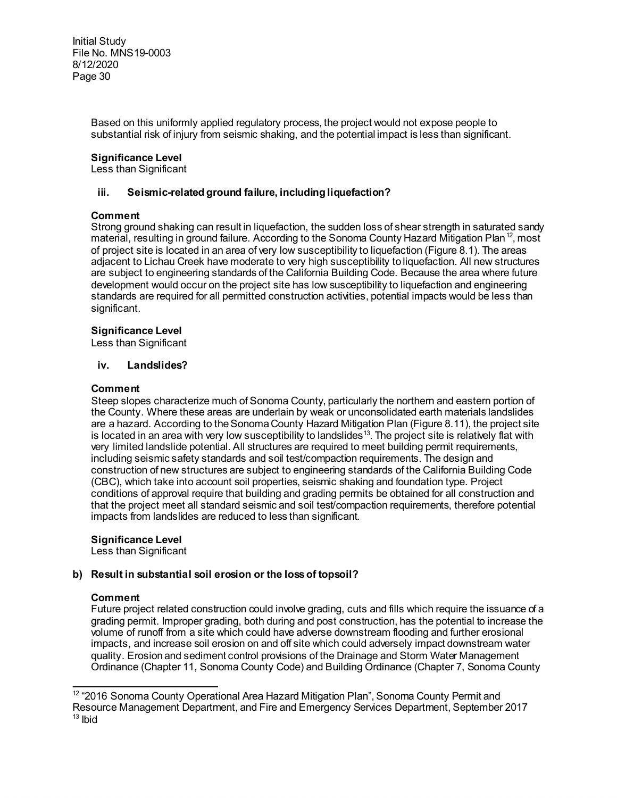> Based on this uniformly applied regulatory process, the project would not expose people to substantial risk of injury from seismic shaking, and the potential impact is less than significant.

# **Significance Level**

Less than Significant

# **iii. Seismic-related ground failure, including liquefaction?**

# **Comment**

Strong ground shaking can result in liquefaction, the sudden loss of shear strength in saturated sandy material, resulting in ground failure. According to the Sonoma County Hazard Mitigation Plan<sup>12</sup>, most of project site is located in an area of very low susceptibility to liquefaction (Figure 8.1). The areas adjacent to Lichau Creek have moderate to very high susceptibility to liquefaction. All new structures are subject to engineering standards of the California Building Code. Because the area where future development would occur on the project site has low susceptibility to liquefaction and engineering standards are required for all permitted construction activities, potential impacts would be less than significant.

# **Significance Level**

Less than Significant

### **iv. Landslides?**

# **Comment**

Steep slopes characterize much of Sonoma County, particularly the northern and eastern portion of the County. Where these areas are underlain by weak or unconsolidated earth materials landslides are a hazard. According to the Sonoma County Hazard Mitigation Plan (Figure 8.11), the project site is located in an area with very low susceptibility to landslides<sup>[13](#page-29-1)</sup>. The project site is relatively flat with very limited landslide potential. All structures are required to meet building permit requirements, including seismic safety standards and soil test/compaction requirements. The design and construction of new structures are subject to engineering standards of the California Building Code (CBC), which take into account soil properties, seismic shaking and foundation type. Project conditions of approval require that building and grading permits be obtained for all construction and that the project meet all standard seismic and soil test/compaction requirements, therefore potential impacts from landslides are reduced to less than significant.

### **Significance Level**

Less than Significant

# **b) Result in substantial soil erosion or the loss of topsoil?**

# **Comment**

Future project related construction could involve grading, cuts and fills which require the issuance of a grading permit. Improper grading, both during and post construction, has the potential to increase the volume of runoff from a site which could have adverse downstream flooding and further erosional impacts, and increase soil erosion on and off site which could adversely impact downstream water quality. Erosion and sediment control provisions of the Drainage and Storm Water Management Ordinance (Chapter 11, Sonoma County Code) and Building Ordinance (Chapter 7, Sonoma County

<span id="page-29-1"></span><span id="page-29-0"></span> $\overline{a}$  $12$  "2016 Sonoma County Operational Area Hazard Mitigation Plan", Sonoma County Permit and Resource Management Department, and Fire and Emergency Services Department, September 2017  $13$  Ibid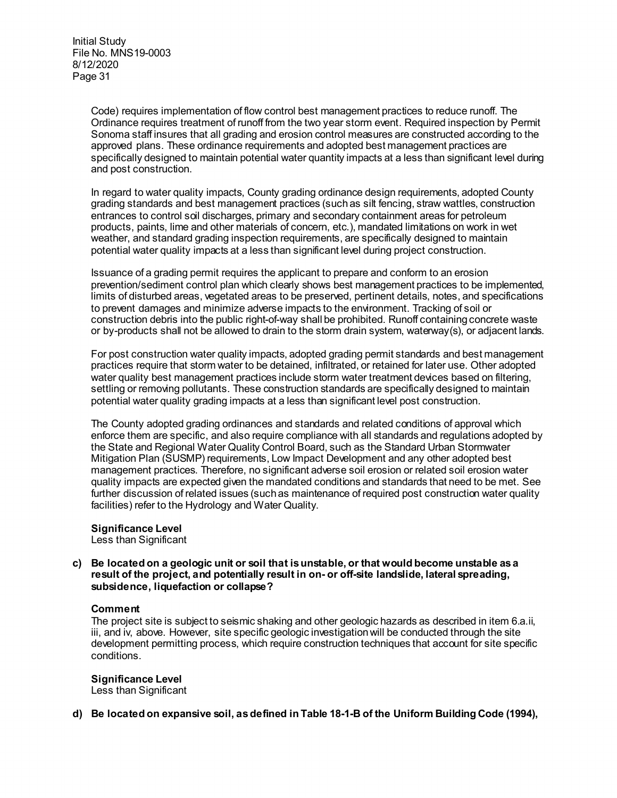Code) requires implementation of flow control best management practices to reduce runoff. The Ordinance requires treatment of runoff from the two year storm event. Required inspection by Permit Sonoma staff insures that all grading and erosion control measures are constructed according to the approved plans. These ordinance requirements and adopted best management practices are specifically designed to maintain potential water quantity impacts at a less than significant level during and post construction.

In regard to water quality impacts, County grading ordinance design requirements, adopted County grading standards and best management practices (such as silt fencing, straw wattles, construction entrances to control soil discharges, primary and secondary containment areas for petroleum products, paints, lime and other materials of concern, etc.), mandated limitations on work in wet weather, and standard grading inspection requirements, are specifically designed to maintain potential water quality impacts at a less than significant level during project construction.

Issuance of a grading permit requires the applicant to prepare and conform to an erosion prevention/sediment control plan which clearly shows best management practices to be implemented, limits of disturbed areas, vegetated areas to be preserved, pertinent details, notes, and specifications to prevent damages and minimize adverse impacts to the environment. Tracking of soil or construction debris into the public right-of-way shall be prohibited. Runoff containing concrete waste or by-products shall not be allowed to drain to the storm drain system, waterway(s), or adjacent lands.

For post construction water quality impacts, adopted grading permit standards and best management practices require that storm water to be detained, infiltrated, or retained for later use. Other adopted water quality best management practices include storm water treatment devices based on filtering, settling or removing pollutants. These construction standards are specifically designed to maintain potential water quality grading impacts at a less than significant level post construction.

The County adopted grading ordinances and standards and related conditions of approval which enforce them are specific, and also require compliance with all standards and regulations adopted by the State and Regional Water Quality Control Board, such as the Standard Urban Stormwater Mitigation Plan (SUSMP) requirements, Low Impact Development and any other adopted best management practices. Therefore, no significant adverse soil erosion or related soil erosion water quality impacts are expected given the mandated conditions and standards that need to be met. See further discussion of related issues (such as maintenance of required post construction water quality facilities) refer to the Hydrology and Water Quality.

# **Significance Level**

Less than Significant

# **c) Be located on a geologic unit or soil that is unstable, or that would become unstable as a result of the project, and potentially result in on- or off-site landslide, lateral spreading, subsidence, liquefaction or collapse?**

# **Comment**

The project site is subject to seismic shaking and other geologic hazards as described in item 6.a.ii, iii, and iv, above. However, site specific geologic investigation will be conducted through the site development permitting process, which require construction techniques that account for site specific conditions.

# **Significance Level**

Less than Significant

**d) Be located on expansive soil, as defined in Table 18-1-B of the Uniform Building Code (1994),**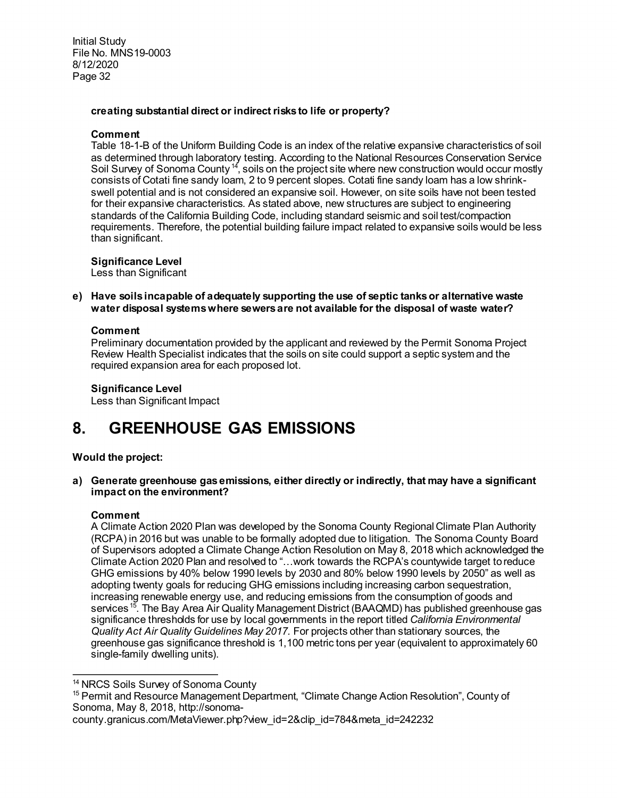# **creating substantial direct or indirect risks to life or property?**

### **Comment**

Table 18-1-B of the Uniform Building Code is an index of the relative expansive characteristics of soil as determined through laboratory testing. According to the National Resources Conservation Service Soil Survey of Sonoma County<sup>[14](#page-31-0)</sup>, soils on the project site where new construction would occur mostly consists of Cotati fine sandy loam, 2 to 9 percent slopes. Cotati fine sandy loam has a low shrinkswell potential and is not considered an expansive soil. However, on site soils have not been tested for their expansive characteristics. As stated above, new structures are subject to engineering standards of the California Building Code, including standard seismic and soil test/compaction requirements. Therefore, the potential building failure impact related to expansive soils would be less than significant.

**Significance Level**

Less than Significant

**e) Have soils incapable of adequately supporting the use of septic tanks or alternative waste water disposal systems where sewers are not available for the disposal of waste water?**

# **Comment**

Preliminary documentation provided by the applicant and reviewed by the Permit Sonoma Project Review Health Specialist indicates that the soils on site could support a septic system and the required expansion area for each proposed lot.

**Significance Level** 

Less than Significant Impact

# **8. GREENHOUSE GAS EMISSIONS**

# **Would the project:**

**a) Generate greenhouse gas emissions, either directly or indirectly, that may have a significant impact on the environment?**

### **Comment**

A Climate Action 2020 Plan was developed by the Sonoma County Regional Climate Plan Authority (RCPA) in 2016 but was unable to be formally adopted due to litigation. The Sonoma County Board of Supervisors adopted a Climate Change Action Resolution on May 8, 2018 which acknowledged the Climate Action 2020 Plan and resolved to "…work towards the RCPA's countywide target to reduce GHG emissions by 40% below 1990 levels by 2030 and 80% below 1990 levels by 2050" as well as adopting twenty goals for reducing GHG emissions including increasing carbon sequestration, increasing renewable energy use, and reducing emissions from the consumption of goods and services <sup>[15](#page-31-1)</sup>. The Bay Area Air Quality Management District (BAAQMD) has published greenhouse gas significance thresholds for use by local governments in the report titled *California Environmental Quality Act Air Quality Guidelines May 2017.* For projects other than stationary sources, the greenhouse gas significance threshold is 1,100 metric tons per year (equivalent to approximately 60 single-family dwelling units).

<span id="page-31-0"></span> $\overline{a}$ <sup>14</sup> NRCS Soils Survey of Sonoma County

<span id="page-31-1"></span><sup>&</sup>lt;sup>15</sup> Permit and Resource Management Department, "Climate Change Action Resolution", County of Sonoma, May 8, 2018, http://sonoma-

county.granicus.com/MetaViewer.php?view\_id=2&clip\_id=784&meta\_id=242232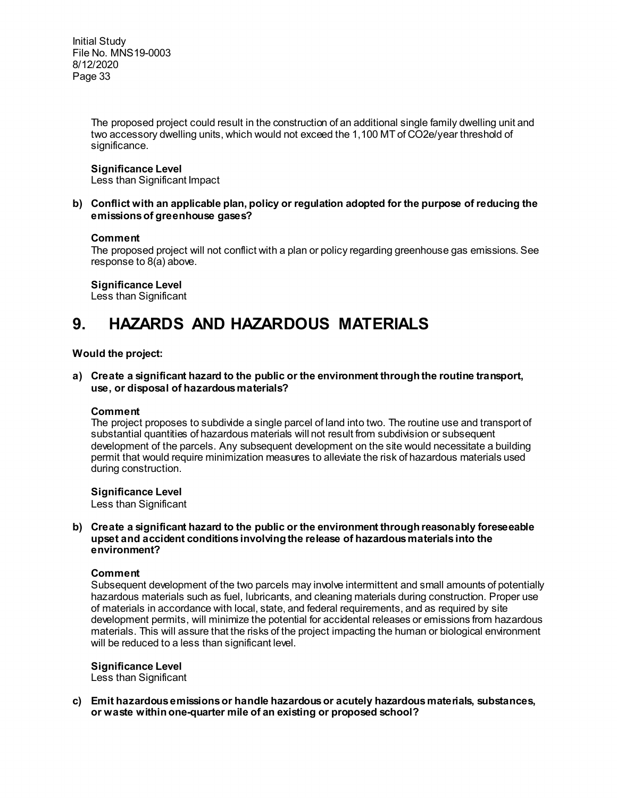> The proposed project could result in the construction of an additional single family dwelling unit and two accessory dwelling units, which would not exceed the 1,100 MT of CO2e/year threshold of significance.

### **Significance Level**

Less than Significant Impact

**b) Conflict with an applicable plan, policy or regulation adopted for the purpose of reducing the emissions of greenhouse gases?**

### **Comment**

The proposed project will not conflict with a plan or policy regarding greenhouse gas emissions. See response to 8(a) above.

**Significance Level** Less than Significant

# **9. HAZARDS AND HAZARDOUS MATERIALS**

# **Would the project:**

**a) Create a significant hazard to the public or the environment through the routine transport, use, or disposal of hazardous materials?**

### **Comment**

The project proposes to subdivide a single parcel of land into two. The routine use and transport of substantial quantities of hazardous materials will not result from subdivision or subsequent development of the parcels. Any subsequent development on the site would necessitate a building permit that would require minimization measures to alleviate the risk of hazardous materials used during construction.

### **Significance Level**

Less than Significant

**b) Create a significant hazard to the public or the environment through reasonably foreseeable upset and accident conditions involving the release of hazardous materials into the environment?**

### **Comment**

Subsequent development of the two parcels may involve intermittent and small amounts of potentially hazardous materials such as fuel, lubricants, and cleaning materials during construction. Proper use of materials in accordance with local, state, and federal requirements, and as required by site development permits, will minimize the potential for accidental releases or emissions from hazardous materials. This will assure that the risks of the project impacting the human or biological environment will be reduced to a less than significant level.

### **Significance Level**

Less than Significant

**c) Emit hazardous emissions or handle hazardous or acutely hazardous materials, substances, or waste within one-quarter mile of an existing or proposed school?**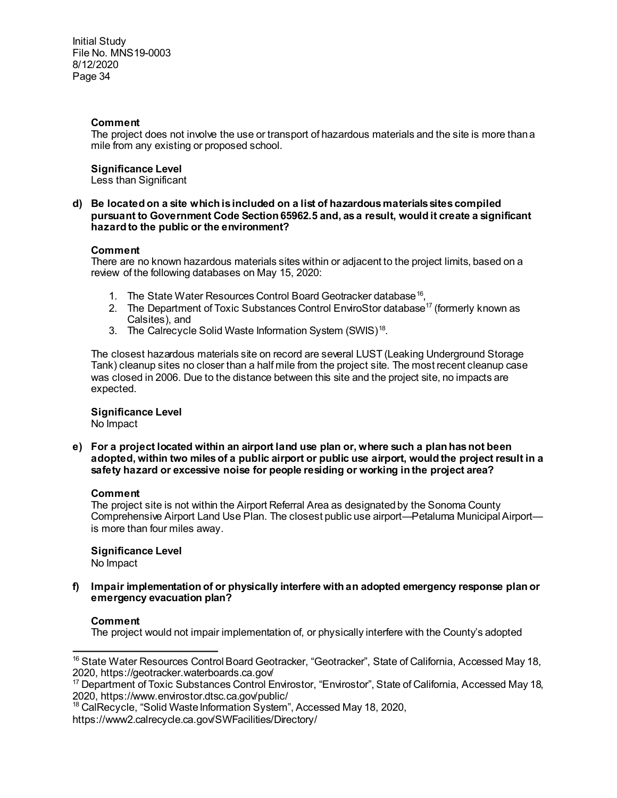# **Comment**

The project does not involve the use or transport of hazardous materials and the site is more than a mile from any existing or proposed school.

# **Significance Level**

Less than Significant

### **d) Be located on a site which is included on a list of hazardous materials sites compiled pursuant to Government Code Section 65962.5 and, as a result, would it create a significant hazard to the public or the environment?**

### **Comment**

There are no known hazardous materials sites within or adjacent to the project limits, based on a review of the following databases on May 15, 2020:

- 1. The State Water Resources Control Board Geotracker database<sup>[16](#page-33-0)</sup>,
- 2. The Department of Toxic Substances Control EnviroStor database<sup>17</sup> (formerly known as Calsites), and
- 3. The Calrecycle Solid Waste Information System (SWIS)<sup>[18](#page-33-2)</sup>.

The closest hazardous materials site on record are several LUST (Leaking Underground Storage Tank) cleanup sites no closer than a half mile from the project site. The most recent cleanup case was closed in 2006. Due to the distance between this site and the project site, no impacts are expected.

# **Significance Level**

No Impact

**e) For a project located within an airport land use plan or, where such a plan has not been adopted, within two miles of a public airport or public use airport, would the project result in a safety hazard or excessive noise for people residing or working in the project area?**

# **Comment**

The project site is not within the Airport Referral Area as designated by the Sonoma County Comprehensive Airport Land Use Plan. The closest public use airport—Petaluma Municipal Airport is more than four miles away.

**Significance Level**  No Impact

**f) Impair implementation of or physically interfere with an adopted emergency response plan or emergency evacuation plan?** 

### **Comment**

The project would not impair implementation of, or physically interfere with the County's adopted

<span id="page-33-0"></span>l <sup>16</sup> State Water Resources Control Board Geotracker, "Geotracker", State of California, Accessed May 18, 2020, https://geotracker.waterboards.ca.gov/

<span id="page-33-1"></span><sup>&</sup>lt;sup>17</sup> Department of Toxic Substances Control Envirostor, "Envirostor", State of California, Accessed May 18, 2020, https://www.envirostor.dtsc.ca.gov/public/

<sup>&</sup>lt;sup>18</sup> CalRecycle, "Solid Waste Information System", Accessed May 18, 2020,

<span id="page-33-2"></span>https://www2.calrecycle.ca.gov/SWFacilities/Directory/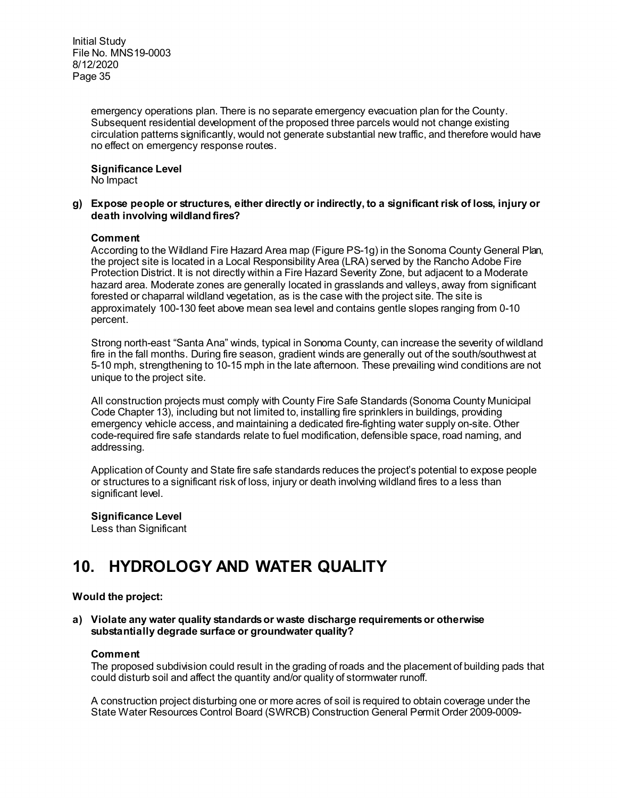> emergency operations plan. There is no separate emergency evacuation plan for the County. Subsequent residential development of the proposed three parcels would not change existing circulation patterns significantly, would not generate substantial new traffic, and therefore would have no effect on emergency response routes.

**Significance Level**  No Impact

### **g) Expose people or structures, either directly or indirectly, to a significant risk of loss, injury or death involving wildland fires?**

### **Comment**

According to the Wildland Fire Hazard Area map (Figure PS-1g) in the Sonoma County General Plan, the project site is located in a Local Responsibility Area (LRA) served by the Rancho Adobe Fire Protection District. It is not directly within a Fire Hazard Severity Zone, but adjacent to a Moderate hazard area. Moderate zones are generally located in grasslands and valleys, away from significant forested or chaparral wildland vegetation, as is the case with the project site. The site is approximately 100-130 feet above mean sea level and contains gentle slopes ranging from 0-10 percent.

Strong north-east "Santa Ana" winds, typical in Sonoma County, can increase the severity of wildland fire in the fall months. During fire season, gradient winds are generally out of the south/southwest at 5-10 mph, strengthening to 10-15 mph in the late afternoon. These prevailing wind conditions are not unique to the project site.

All construction projects must comply with County Fire Safe Standards (Sonoma County Municipal Code Chapter 13), including but not limited to, installing fire sprinklers in buildings, providing emergency vehicle access, and maintaining a dedicated fire-fighting water supply on-site. Other code-required fire safe standards relate to fuel modification, defensible space, road naming, and addressing.

Application of County and State fire safe standards reduces the project's potential to expose people or structures to a significant risk of loss, injury or death involving wildland fires to a less than significant level.

**Significance Level**  Less than Significant

# **10. HYDROLOGY AND WATER QUALITY**

### **Would the project:**

**a) Violate any water quality standards or waste discharge requirementsor otherwise substantially degrade surface or groundwater quality?** 

### **Comment**

The proposed subdivision could result in the grading of roads and the placement of building pads that could disturb soil and affect the quantity and/or quality of stormwater runoff.

A construction project disturbing one or more acres of soil is required to obtain coverage under the State Water Resources Control Board (SWRCB) Construction General Permit Order 2009-0009-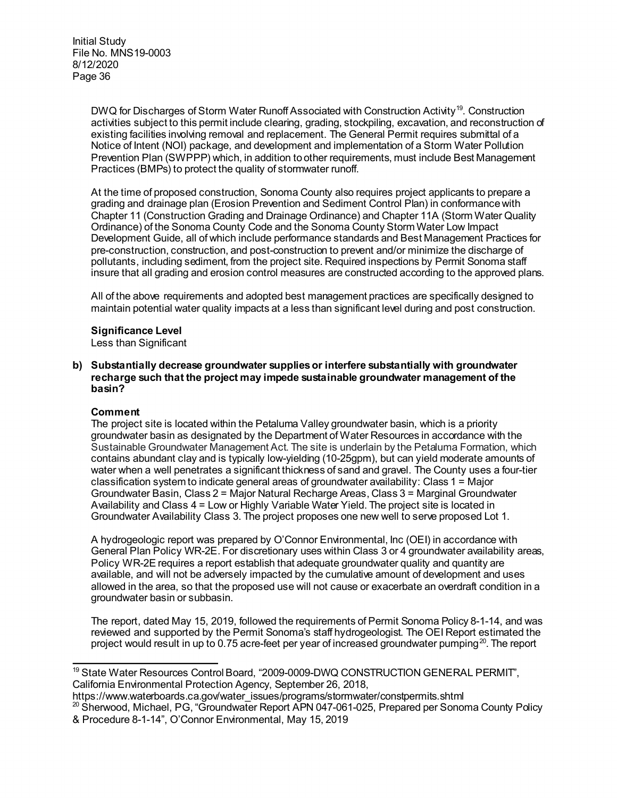> DWQ for Discharges of Storm Water Runoff Associated with Construction Activity<sup>[19](#page-35-0)</sup>. Construction activities subject to this permit include clearing, grading, stockpiling, excavation, and reconstruction of existing facilities involving removal and replacement. The General Permit requires submittal of a Notice of Intent (NOI) package, and development and implementation of a Storm Water Pollution Prevention Plan (SWPPP) which, in addition to other requirements, must include Best Management Practices (BMPs) to protect the quality of stormwater runoff.

> At the time of proposed construction, Sonoma County also requires project applicants to prepare a grading and drainage plan (Erosion Prevention and Sediment Control Plan) in conformance with Chapter 11 (Construction Grading and Drainage Ordinance) and Chapter 11A (Storm Water Quality Ordinance) of the Sonoma County Code and the Sonoma County Storm Water Low Impact Development Guide, all of which include performance standards and Best Management Practices for pre-construction, construction, and post-construction to prevent and/or minimize the discharge of pollutants, including sediment, from the project site. Required inspections by Permit Sonoma staff insure that all grading and erosion control measures are constructed according to the approved plans.

All of the above requirements and adopted best management practices are specifically designed to maintain potential water quality impacts at a less than significant level during and post construction.

# **Significance Level**

Less than Significant

**b) Substantially decrease groundwater supplies or interfere substantially with groundwater recharge such that the project may impede sustainable groundwater management of the basin?**

### **Comment**

The project site is located within the Petaluma Valley groundwater basin, which is a priority groundwater basin as designated by the Department of Water Resources in accordance with the Sustainable Groundwater Management Act. The site is underlain by the Petaluma Formation, which contains abundant clay and is typically low-yielding (10-25gpm), but can yield moderate amounts of water when a well penetrates a significant thickness of sand and gravel. The County uses a four-tier classification system to indicate general areas of groundwater availability: Class 1 = Major Groundwater Basin, Class 2 = Major Natural Recharge Areas, Class 3 = Marginal Groundwater Availability and Class 4 = Low or Highly Variable Water Yield. The project site is located in Groundwater Availability Class 3. The project proposes one new well to serve proposed Lot 1.

A hydrogeologic report was prepared by O'Connor Environmental, Inc (OEI) in accordance with General Plan Policy WR-2E. For discretionary uses within Class 3 or 4 groundwater availability areas, Policy WR-2E requires a report establish that adequate groundwater quality and quantity are available, and will not be adversely impacted by the cumulative amount of development and uses allowed in the area, so that the proposed use will not cause or exacerbate an overdraft condition in a groundwater basin or subbasin.

The report, dated May 15, 2019, followed the requirements of Permit Sonoma Policy 8-1-14, and was reviewed and supported by the Permit Sonoma's staff hydrogeologist. The OEI Report estimated the project would result in up to 0.75 acre-feet per year of increased groundwater pumping<sup>[20](#page-35-1)</sup>. The report

<span id="page-35-0"></span>l <sup>19</sup> State Water Resources Control Board, "2009-0009-DWQ CONSTRUCTION GENERAL PERMIT". California Environmental Protection Agency, September 26, 2018,

<span id="page-35-1"></span>https://www.waterboards.ca.gov/water\_issues/programs/stormwater/constpermits.shtml  $^{20}$  Sherwood, Michael, PG, "Groundwater Report APN 047-061-025, Prepared per Sonoma County Policy

<sup>&</sup>amp; Procedure 8-1-14", O'Connor Environmental, May 15, 2019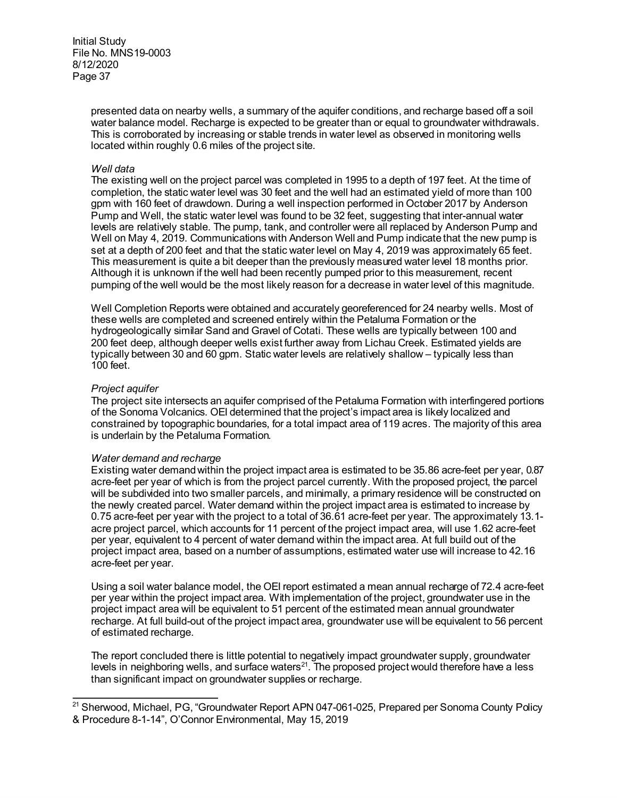> presented data on nearby wells, a summary of the aquifer conditions, and recharge based off a soil water balance model. Recharge is expected to be greater than or equal to groundwater withdrawals. This is corroborated by increasing or stable trends in water level as observed in monitoring wells located within roughly 0.6 miles of the project site.

#### *Well data*

The existing well on the project parcel was completed in 1995 to a depth of 197 feet. At the time of completion, the static water level was 30 feet and the well had an estimated yield of more than 100 gpm with 160 feet of drawdown. During a well inspection performed in October 2017 by Anderson Pump and Well, the static water level was found to be 32 feet, suggesting that inter-annual water levels are relatively stable. The pump, tank, and controller were all replaced by Anderson Pump and Well on May 4, 2019. Communications with Anderson Well and Pump indicate that the new pump is set at a depth of 200 feet and that the static water level on May 4, 2019 was approximately 65 feet. This measurement is quite a bit deeper than the previously measured water level 18 months prior. Although it is unknown if the well had been recently pumped prior to this measurement, recent pumping of the well would be the most likely reason for a decrease in water level of this magnitude.

Well Completion Reports were obtained and accurately georeferenced for 24 nearby wells. Most of these wells are completed and screened entirely within the Petaluma Formation or the hydrogeologically similar Sand and Gravel of Cotati. These wells are typically between 100 and 200 feet deep, although deeper wells exist further away from Lichau Creek. Estimated yields are typically between 30 and 60 gpm. Static water levels are relatively shallow – typically less than 100 feet.

### *Project aquifer*

The project site intersects an aquifer comprised of the Petaluma Formation with interfingered portions of the Sonoma Volcanics. OEI determined that the project's impact area is likely localized and constrained by topographic boundaries, for a total impact area of 119 acres. The majority of this area is underlain by the Petaluma Formation.

### *Water demand and recharge*

Existing water demand within the project impact area is estimated to be 35.86 acre-feet per year, 0.87 acre-feet per year of which is from the project parcel currently. With the proposed project, the parcel will be subdivided into two smaller parcels, and minimally, a primary residence will be constructed on the newly created parcel. Water demand within the project impact area is estimated to increase by 0.75 acre-feet per year with the project to a total of 36.61 acre-feet per year. The approximately 13.1 acre project parcel, which accounts for 11 percent of the project impact area, will use 1.62 acre-feet per year, equivalent to 4 percent of water demand within the impact area. At full build out of the project impact area, based on a number of assumptions, estimated water use will increase to 42.16 acre-feet per year.

Using a soil water balance model, the OEI report estimated a mean annual recharge of 72.4 acre-feet per year within the project impact area. With implementation of the project, groundwater use in the project impact area will be equivalent to 51 percent of the estimated mean annual groundwater recharge. At full build-out of the project impact area, groundwater use will be equivalent to 56 percent of estimated recharge.

The report concluded there is little potential to negatively impact groundwater supply, groundwater levels in neighboring wells, and surface waters<sup>21</sup>. The proposed project would therefore have a less than significant impact on groundwater supplies or recharge.

<span id="page-36-0"></span> $\overline{a}$ <sup>21</sup> Sherwood, Michael, PG, "Groundwater Report APN 047-061-025, Prepared per Sonoma County Policy & Procedure 8-1-14", O'Connor Environmental, May 15, 2019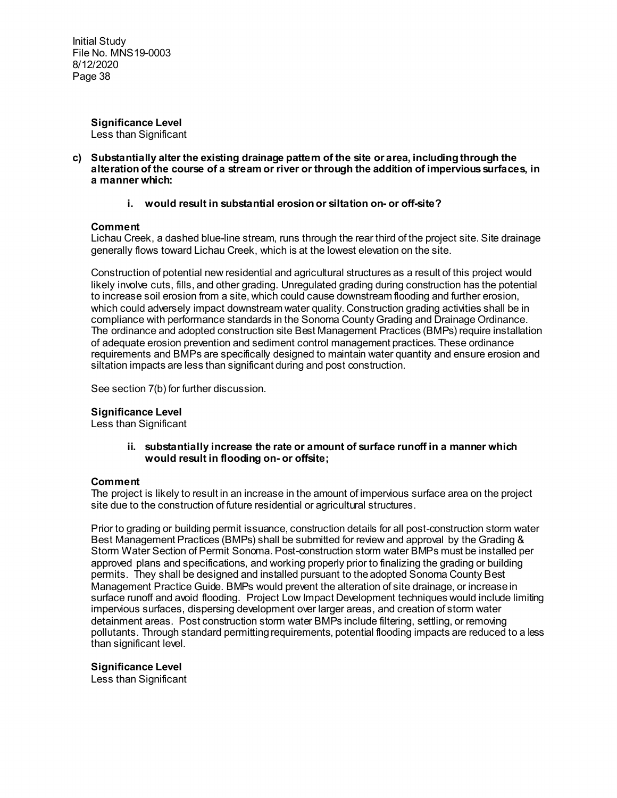> **Significance Level**  Less than Significant

**c) Substantially alter the existing drainage pattern of the site or area, including through the alteration of the course of a stream or river or through the addition of impervious surfaces, in a manner which:**

### **i. would result in substantial erosion or siltation on- or off-site?**

# **Comment**

Lichau Creek, a dashed blue-line stream, runs through the rear third of the project site. Site drainage generally flows toward Lichau Creek, which is at the lowest elevation on the site.

Construction of potential new residential and agricultural structures as a result of this project would likely involve cuts, fills, and other grading. Unregulated grading during construction has the potential to increase soil erosion from a site, which could cause downstream flooding and further erosion, which could adversely impact downstream water quality. Construction grading activities shall be in compliance with performance standards in the Sonoma County Grading and Drainage Ordinance. The ordinance and adopted construction site Best Management Practices (BMPs) require installation of adequate erosion prevention and sediment control management practices. These ordinance requirements and BMPs are specifically designed to maintain water quantity and ensure erosion and siltation impacts are less than significant during and post construction.

See section 7(b) for further discussion.

# **Significance Level**

Less than Significant

**ii. substantially increase the rate or amount of surface runoff in a manner which would result in flooding on- or offsite;**

### **Comment**

The project is likely to result in an increase in the amount of impervious surface area on the project site due to the construction of future residential or agricultural structures.

Prior to grading or building permit issuance, construction details for all post-construction storm water Best Management Practices (BMPs) shall be submitted for review and approval by the Grading & Storm Water Section of Permit Sonoma. Post-construction storm water BMPs must be installed per approved plans and specifications, and working properly prior to finalizing the grading or building permits. They shall be designed and installed pursuant to the adopted Sonoma County Best Management Practice Guide. BMPs would prevent the alteration of site drainage, or increase in surface runoff and avoid flooding. Project Low Impact Development techniques would include limiting impervious surfaces, dispersing development over larger areas, and creation of storm water detainment areas. Post construction storm water BMPs include filtering, settling, or removing pollutants. Through standard permitting requirements, potential flooding impacts are reduced to a less than significant level.

### **Significance Level**

Less than Significant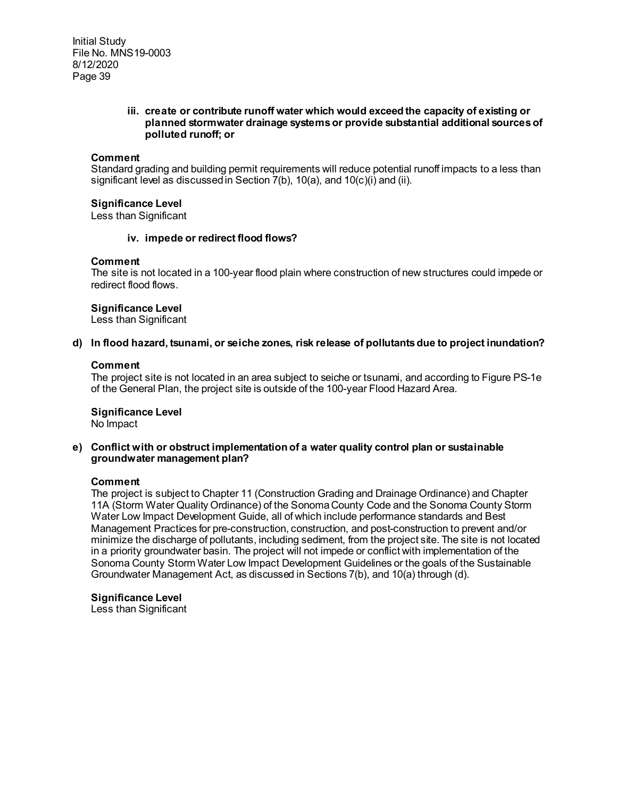### **iii. create or contribute runoff water which would exceed the capacity of existing or planned stormwater drainage systems or provide substantial additional sources of polluted runoff; or**

### **Comment**

Standard grading and building permit requirements will reduce potential runoff impacts to a less than significant level as discussed in Section 7(b), 10(a), and 10(c)(i) and (ii).

### **Significance Level**

Less than Significant

### **iv. impede or redirect flood flows?**

### **Comment**

The site is not located in a 100-year flood plain where construction of new structures could impede or redirect flood flows.

### **Significance Level**

Less than Significant

### **d) In flood hazard, tsunami, or seiche zones, risk release of pollutants due to project inundation?**

# **Comment**

The project site is not located in an area subject to seiche or tsunami, and according to Figure PS-1e of the General Plan, the project site is outside of the 100-year Flood Hazard Area.

# **Significance Level**

No Impact

# **e) Conflict with or obstruct implementation of a water quality control plan or sustainable groundwater management plan?**

### **Comment**

The project is subject to Chapter 11 (Construction Grading and Drainage Ordinance) and Chapter 11A (Storm Water Quality Ordinance) of the Sonoma County Code and the Sonoma County Storm Water Low Impact Development Guide, all of which include performance standards and Best Management Practices for pre-construction, construction, and post-construction to prevent and/or minimize the discharge of pollutants, including sediment, from the project site. The site is not located in a priority groundwater basin. The project will not impede or conflict with implementation of the Sonoma County Storm Water Low Impact Development Guidelines or the goals of the Sustainable Groundwater Management Act, as discussed in Sections 7(b), and 10(a) through (d).

**Significance Level** 

Less than Significant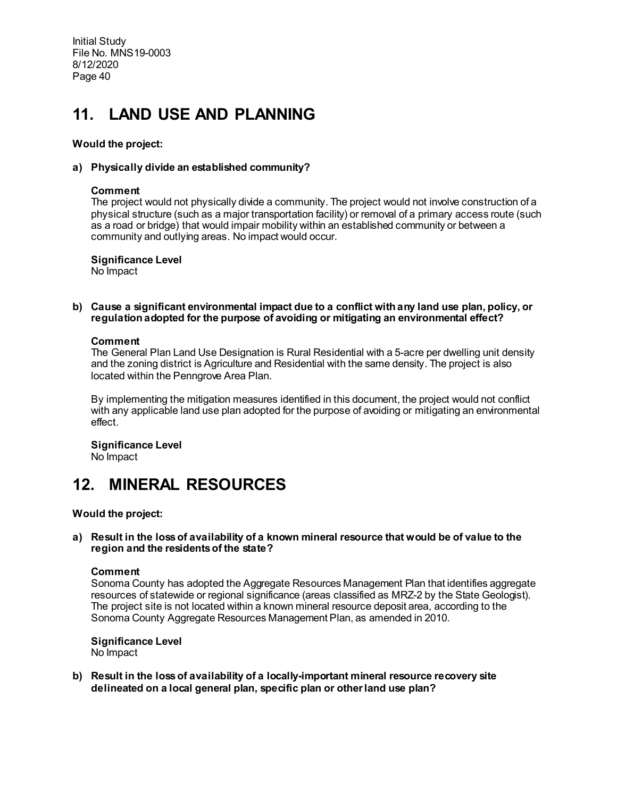# **11. LAND USE AND PLANNING**

# **Would the project:**

# **a) Physically divide an established community?**

### **Comment**

The project would not physically divide a community. The project would not involve construction of a physical structure (such as a major transportation facility) or removal of a primary access route (such as a road or bridge) that would impair mobility within an established community or between a community and outlying areas. No impact would occur.

# **Significance Level**

No Impact

**b) Cause a significant environmental impact due to a conflict with any land use plan, policy, or regulation adopted for the purpose of avoiding or mitigating an environmental effect?**

### **Comment**

The General Plan Land Use Designation is Rural Residential with a 5-acre per dwelling unit density and the zoning district is Agriculture and Residential with the same density. The project is also located within the Penngrove Area Plan.

By implementing the mitigation measures identified in this document, the project would not conflict with any applicable land use plan adopted for the purpose of avoiding or mitigating an environmental effect.

**Significance Level** No Impact

# **12. MINERAL RESOURCES**

**Would the project:**

**a) Result in the loss of availability of a known mineral resource that would be of value to the region and the residents of the state?**

### **Comment**

Sonoma County has adopted the Aggregate Resources Management Plan that identifies aggregate resources of statewide or regional significance (areas classified as MRZ-2 by the State Geologist). The project site is not located within a known mineral resource deposit area, according to the Sonoma County Aggregate Resources Management Plan, as amended in 2010.

**Significance Level** No Impact

**b) Result in the loss of availability of a locally-important mineral resource recovery site delineated on a local general plan, specific plan or other land use plan?**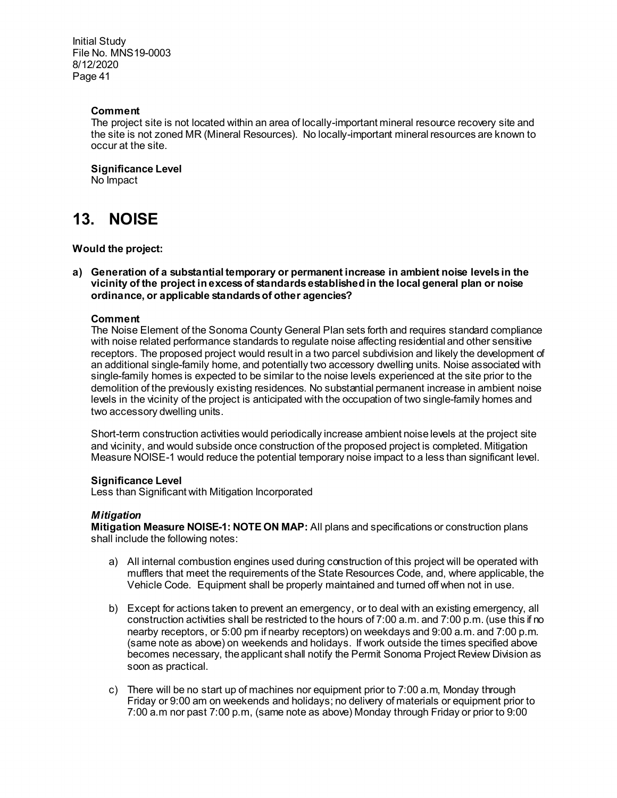# **Comment**

The project site is not located within an area of locally-important mineral resource recovery site and the site is not zoned MR (Mineral Resources). No locally-important mineral resources are known to occur at the site.

**Significance Level**

No Impact

# **13. NOISE**

# **Would the project:**

**a) Generation of a substantial temporary or permanent increase in ambient noise levels in the vicinity of the project in excess of standards established in the local general plan or noise ordinance, or applicable standards of other agencies?**

# **Comment**

The Noise Element of the Sonoma County General Plan sets forth and requires standard compliance with noise related performance standards to regulate noise affecting residential and other sensitive receptors. The proposed project would result in a two parcel subdivision and likely the development of an additional single-family home, and potentially two accessory dwelling units. Noise associated with single-family homes is expected to be similar to the noise levels experienced at the site prior to the demolition of the previously existing residences. No substantial permanent increase in ambient noise levels in the vicinity of the project is anticipated with the occupation of two single-family homes and two accessory dwelling units.

Short-term construction activities would periodically increase ambient noise levels at the project site and vicinity, and would subside once construction of the proposed project is completed. Mitigation Measure NOISE-1 would reduce the potential temporary noise impact to a less than significant level.

### **Significance Level**

Less than Significant with Mitigation Incorporated

### *Mitigation*

**Mitigation Measure NOISE-1: NOTE ON MAP:** All plans and specifications or construction plans shall include the following notes:

- a) All internal combustion engines used during construction of this project will be operated with mufflers that meet the requirements of the State Resources Code, and, where applicable, the Vehicle Code. Equipment shall be properly maintained and turned off when not in use.
- b) Except for actions taken to prevent an emergency, or to deal with an existing emergency, all construction activities shall be restricted to the hours of 7:00 a.m. and 7:00 p.m. (use this if no nearby receptors, or 5:00 pm if nearby receptors) on weekdays and 9:00 a.m. and 7:00 p.m. (same note as above) on weekends and holidays. If work outside the times specified above becomes necessary, the applicant shall notify the Permit Sonoma Project Review Division as soon as practical.
- c) There will be no start up of machines nor equipment prior to 7:00 a.m, Monday through Friday or 9:00 am on weekends and holidays; no delivery of materials or equipment prior to 7:00 a.m nor past 7:00 p.m, (same note as above) Monday through Friday or prior to 9:00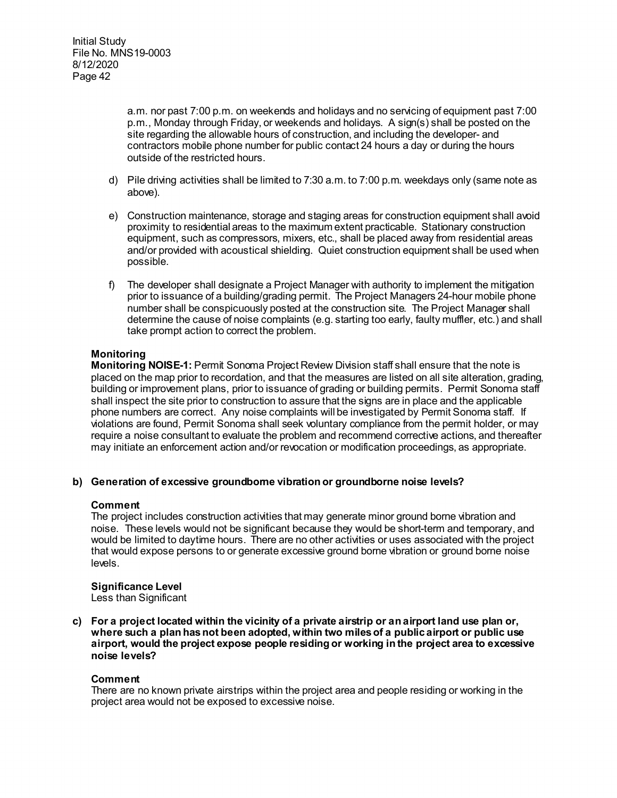a.m. nor past 7:00 p.m. on weekends and holidays and no servicing of equipment past 7:00 p.m., Monday through Friday, or weekends and holidays. A sign(s) shall be posted on the site regarding the allowable hours of construction, and including the developer- and contractors mobile phone number for public contact 24 hours a day or during the hours outside of the restricted hours.

- d) Pile driving activities shall be limited to 7:30 a.m. to 7:00 p.m. weekdays only (same note as above).
- e) Construction maintenance, storage and staging areas for construction equipment shall avoid proximity to residential areas to the maximum extent practicable. Stationary construction equipment, such as compressors, mixers, etc., shall be placed away from residential areas and/or provided with acoustical shielding. Quiet construction equipment shall be used when possible.
- f) The developer shall designate a Project Manager with authority to implement the mitigation prior to issuance of a building/grading permit. The Project Managers 24-hour mobile phone number shall be conspicuously posted at the construction site. The Project Manager shall determine the cause of noise complaints (e.g. starting too early, faulty muffler, etc.) and shall take prompt action to correct the problem.

# **Monitoring**

**Monitoring NOISE-1:** Permit Sonoma Project Review Division staff shall ensure that the note is placed on the map prior to recordation, and that the measures are listed on all site alteration, grading, building or improvement plans, prior to issuance of grading or building permits. Permit Sonoma staff shall inspect the site prior to construction to assure that the signs are in place and the applicable phone numbers are correct. Any noise complaints will be investigated by Permit Sonoma staff. If violations are found, Permit Sonoma shall seek voluntary compliance from the permit holder, or may require a noise consultant to evaluate the problem and recommend corrective actions, and thereafter may initiate an enforcement action and/or revocation or modification proceedings, as appropriate.

# **b) Generation of excessive groundborne vibration or groundborne noise levels?**

### **Comment**

The project includes construction activities that may generate minor ground borne vibration and noise. These levels would not be significant because they would be short-term and temporary, and would be limited to daytime hours. There are no other activities or uses associated with the project that would expose persons to or generate excessive ground borne vibration or ground borne noise levels.

**Significance Level** Less than Significant

**c) For a project located within the vicinity of a private airstrip or an airport land use plan or, where such a plan has not been adopted, within two miles of a public airport or public use airport, would the project expose people residing or working in the project area to excessive noise levels?**

### **Comment**

There are no known private airstrips within the project area and people residing or working in the project area would not be exposed to excessive noise.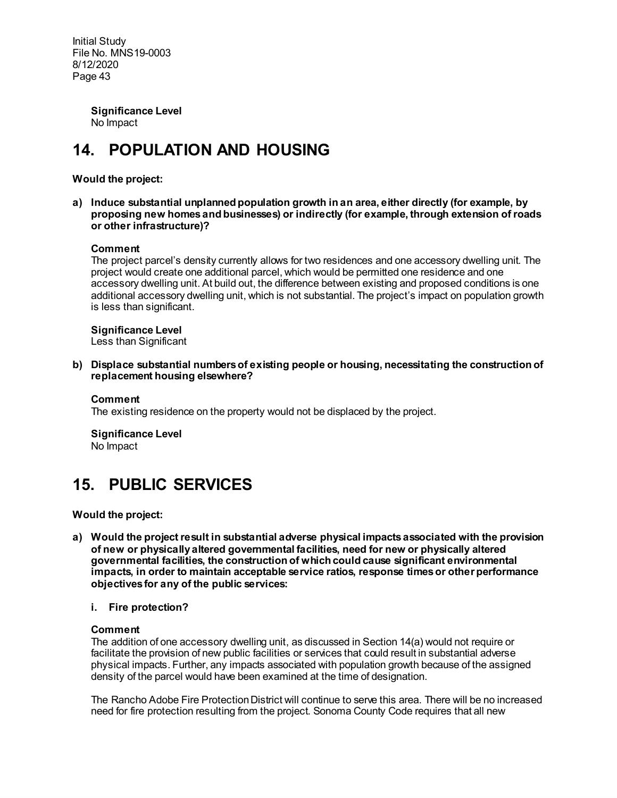> **Significance Level** No Impact

# **14. POPULATION AND HOUSING**

# **Would the project:**

**a) Induce substantial unplanned population growth in an area, either directly (for example, by proposing new homes and businesses) or indirectly (for example, through extension of roads or other infrastructure)?** 

# **Comment**

The project parcel's density currently allows for two residences and one accessory dwelling unit. The project would create one additional parcel, which would be permitted one residence and one accessory dwelling unit. At build out, the difference between existing and proposed conditions is one additional accessory dwelling unit, which is not substantial. The project's impact on population growth is less than significant.

**Significance Level** Less than Significant

**b) Displace substantial numbers of existing people or housing, necessitating the construction of replacement housing elsewhere?**

#### **Comment**

The existing residence on the property would not be displaced by the project.

**Significance Level** No Impact

# **15. PUBLIC SERVICES**

**Would the project:**

- **a) Would the project result in substantial adverse physical impacts associated with the provision of new or physically altered governmental facilities, need for new or physically altered governmental facilities, the construction of which could cause significant environmental impacts, in order to maintain acceptable service ratios, response times or other performance objectives for any of the public services:**
	- **i. Fire protection?**

#### **Comment**

The addition of one accessory dwelling unit, as discussed in Section 14(a) would not require or facilitate the provision of new public facilities or services that could result in substantial adverse physical impacts. Further, any impacts associated with population growth because of the assigned density of the parcel would have been examined at the time of designation.

The Rancho Adobe Fire Protection District will continue to serve this area. There will be no increased need for fire protection resulting from the project. Sonoma County Code requires that all new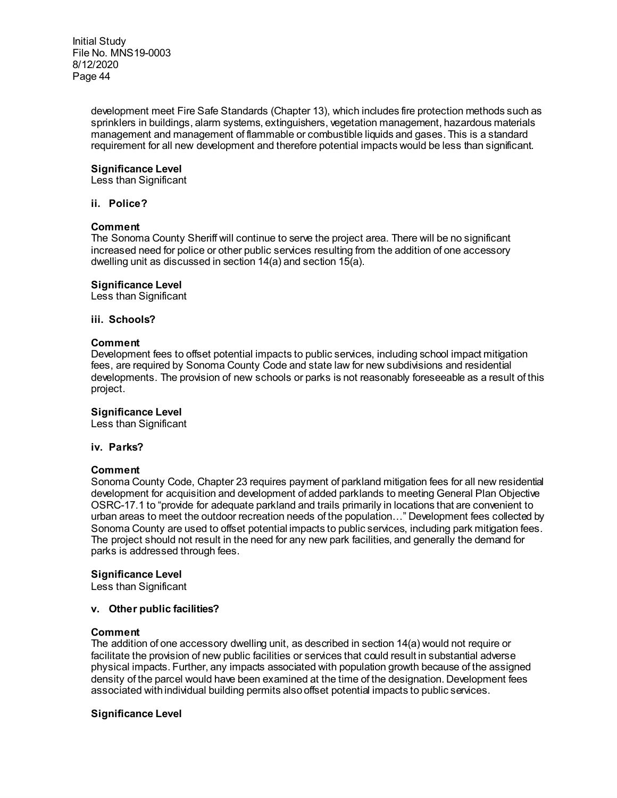> development meet Fire Safe Standards (Chapter 13), which includes fire protection methods such as sprinklers in buildings, alarm systems, extinguishers, vegetation management, hazardous materials management and management of flammable or combustible liquids and gases. This is a standard requirement for all new development and therefore potential impacts would be less than significant.

# **Significance Level**

Less than Significant

#### **ii. Police?**

### **Comment**

The Sonoma County Sheriff will continue to serve the project area. There will be no significant increased need for police or other public services resulting from the addition of one accessory dwelling unit as discussed in section 14(a) and section 15(a).

### **Significance Level**

Less than Significant

#### **iii. Schools?**

#### **Comment**

Development fees to offset potential impacts to public services, including school impact mitigation fees, are required by Sonoma County Code and state law for new subdivisions and residential developments. The provision of new schools or parks is not reasonably foreseeable as a result of this project.

### **Significance Level**

Less than Significant

#### **iv. Parks?**

#### **Comment**

Sonoma County Code, Chapter 23 requires payment of parkland mitigation fees for all new residential development for acquisition and development of added parklands to meeting General Plan Objective OSRC-17.1 to "provide for adequate parkland and trails primarily in locations that are convenient to urban areas to meet the outdoor recreation needs of the population…" Development fees collected by Sonoma County are used to offset potential impacts to public services, including park mitigation fees. The project should not result in the need for any new park facilities, and generally the demand for parks is addressed through fees.

### **Significance Level**

Less than Significant

### **v. Other public facilities?**

#### **Comment**

The addition of one accessory dwelling unit, as described in section 14(a) would not require or facilitate the provision of new public facilities or services that could result in substantial adverse physical impacts. Further, any impacts associated with population growth because of the assigned density of the parcel would have been examined at the time of the designation. Development fees associated with individual building permits alsooffset potential impacts to public services.

### **Significance Level**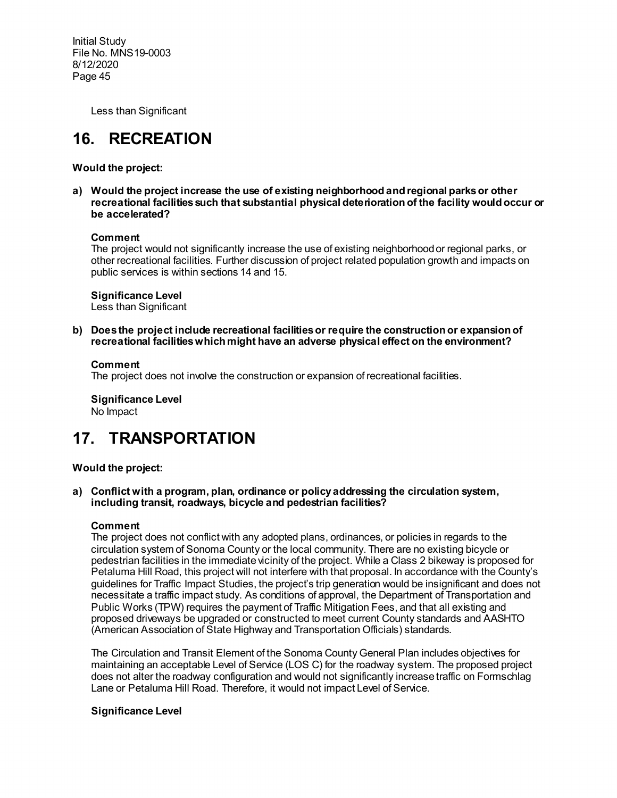Less than Significant

# **16. RECREATION**

**Would the project:**

**a) Would the project increase the use of existing neighborhood and regional parks or other recreational facilities such that substantial physical deterioration of the facility would occur or be accelerated?**

### **Comment**

The project would not significantly increase the use of existing neighborhood or regional parks, or other recreational facilities. Further discussion of project related population growth and impacts on public services is within sections 14 and 15.

# **Significance Level**

Less than Significant

**b) Does the project include recreational facilities or require the construction or expansion of recreational facilities which might have an adverse physical effect on the environment?**

# **Comment**

The project does not involve the construction or expansion of recreational facilities.

**Significance Level** No Impact

# **17. TRANSPORTATION**

# **Would the project:**

**a) Conflict with a program, plan, ordinance or policy addressing the circulation system, including transit, roadways, bicycle and pedestrian facilities?**

# **Comment**

The project does not conflict with any adopted plans, ordinances, or policies in regards to the circulation system of Sonoma County or the local community. There are no existing bicycle or pedestrian facilities in the immediate vicinity of the project. While a Class 2 bikeway is proposed for Petaluma Hill Road, this project will not interfere with that proposal. In accordance with the County's guidelines for Traffic Impact Studies, the project's trip generation would be insignificant and does not necessitate a traffic impact study. As conditions of approval, the Department of Transportation and Public Works (TPW) requires the payment of Traffic Mitigation Fees, and that all existing and proposed driveways be upgraded or constructed to meet current County standards and AASHTO (American Association of State Highway and Transportation Officials) standards.

The Circulation and Transit Element of the Sonoma County General Plan includes objectives for maintaining an acceptable Level of Service (LOS C) for the roadway system. The proposed project does not alter the roadway configuration and would not significantly increase traffic on Formschlag Lane or Petaluma Hill Road. Therefore, it would not impact Level of Service.

# **Significance Level**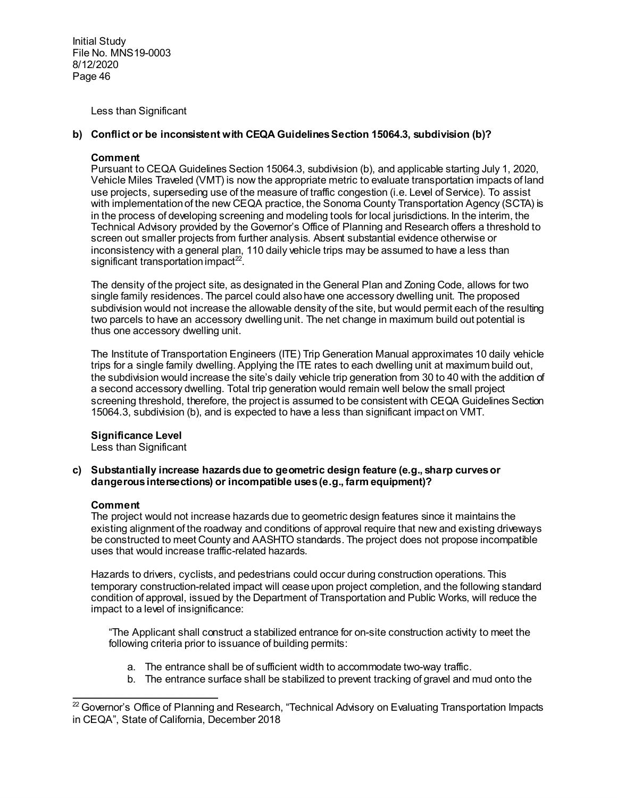Less than Significant

# **b) Conflict or be inconsistent with CEQA Guidelines Section 15064.3, subdivision (b)?**

# **Comment**

Pursuant to CEQA Guidelines Section 15064.3, subdivision (b), and applicable starting July 1, 2020, Vehicle Miles Traveled (VMT) is now the appropriate metric to evaluate transportation impacts of land use projects, superseding use of the measure of traffic congestion (i.e. Level of Service). To assist with implementation of the new CEQA practice, the Sonoma County Transportation Agency (SCTA) is in the process of developing screening and modeling tools for local jurisdictions. In the interim, the Technical Advisory provided by the Governor's Office of Planning and Research offers a threshold to screen out smaller projects from further analysis. Absent substantial evidence otherwise or inconsistency with a general plan, 110 daily vehicle trips may be assumed to have a less than significant transportation impact<sup>[22](#page-45-0)</sup>.

The density of the project site, as designated in the General Plan and Zoning Code, allows for two single family residences. The parcel could also have one accessory dwelling unit. The proposed subdivision would not increase the allowable density of the site, but would permit each of the resulting two parcels to have an accessory dwelling unit. The net change in maximum build out potential is thus one accessory dwelling unit.

The Institute of Transportation Engineers (ITE) Trip Generation Manual approximates 10 daily vehicle trips for a single family dwelling. Applying the ITE rates to each dwelling unit at maximum build out, the subdivision would increase the site's daily vehicle trip generation from 30 to 40 with the addition of a second accessory dwelling. Total trip generation would remain well below the small project screening threshold, therefore, the project is assumed to be consistent with CEQA Guidelines Section 15064.3, subdivision (b), and is expected to have a less than significant impact on VMT.

# **Significance Level**

Less than Significant

### **c) Substantially increase hazards due to geometric design feature (e.g., sharp curves or dangerous intersections) or incompatible uses (e.g., farm equipment)?**

### **Comment**

The project would not increase hazards due to geometric design features since it maintains the existing alignment of the roadway and conditions of approval require that new and existing driveways be constructed to meet County and AASHTO standards. The project does not propose incompatible uses that would increase traffic-related hazards.

Hazards to drivers, cyclists, and pedestrians could occur during construction operations. This temporary construction-related impact will cease upon project completion, and the following standard condition of approval, issued by the Department of Transportation and Public Works, will reduce the impact to a level of insignificance:

"The Applicant shall construct a stabilized entrance for on-site construction activity to meet the following criteria prior to issuance of building permits:

- a. The entrance shall be of sufficient width to accommodate two-way traffic.
- b. The entrance surface shall be stabilized to prevent tracking of gravel and mud onto the

<span id="page-45-0"></span> $\overline{a}$  $^{22}$  Governor's Office of Planning and Research, "Technical Advisory on Evaluating Transportation Impacts in CEQA", State of California, December 2018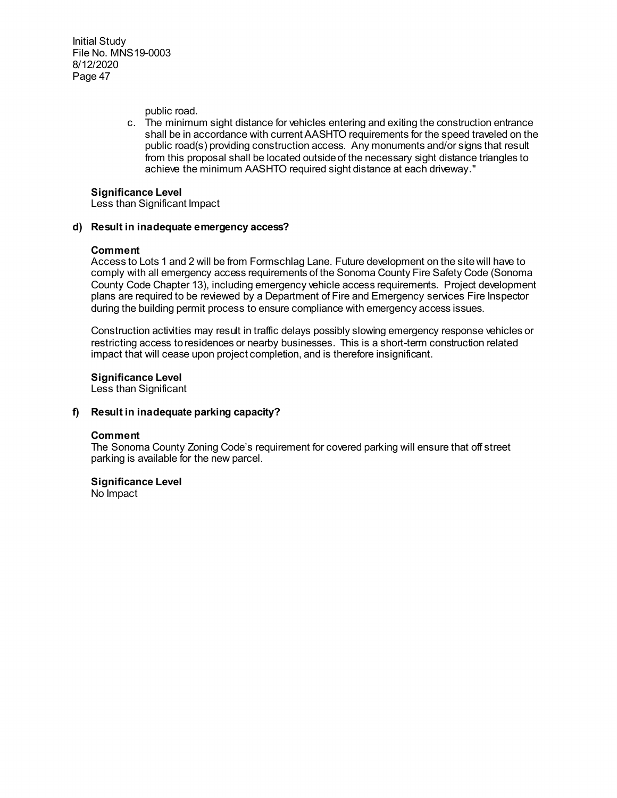public road.

c. The minimum sight distance for vehicles entering and exiting the construction entrance shall be in accordance with current AASHTO requirements for the speed traveled on the public road(s) providing construction access. Any monuments and/or signs that result from this proposal shall be located outside of the necessary sight distance triangles to achieve the minimum AASHTO required sight distance at each driveway."

### **Significance Level**

Less than Significant Impact

# **d) Result in inadequate emergency access?**

#### **Comment**

Access to Lots 1 and 2 will be from Formschlag Lane. Future development on the site will have to comply with all emergency access requirements of the Sonoma County Fire Safety Code (Sonoma County Code Chapter 13), including emergency vehicle access requirements. Project development plans are required to be reviewed by a Department of Fire and Emergency services Fire Inspector during the building permit process to ensure compliance with emergency access issues.

Construction activities may result in traffic delays possibly slowing emergency response vehicles or restricting access to residences or nearby businesses. This is a short-term construction related impact that will cease upon project completion, and is therefore insignificant.

**Significance Level**

Less than Significant

### **f) Result in inadequate parking capacity?**

#### **Comment**

The Sonoma County Zoning Code's requirement for covered parking will ensure that off street parking is available for the new parcel.

**Significance Level** No Impact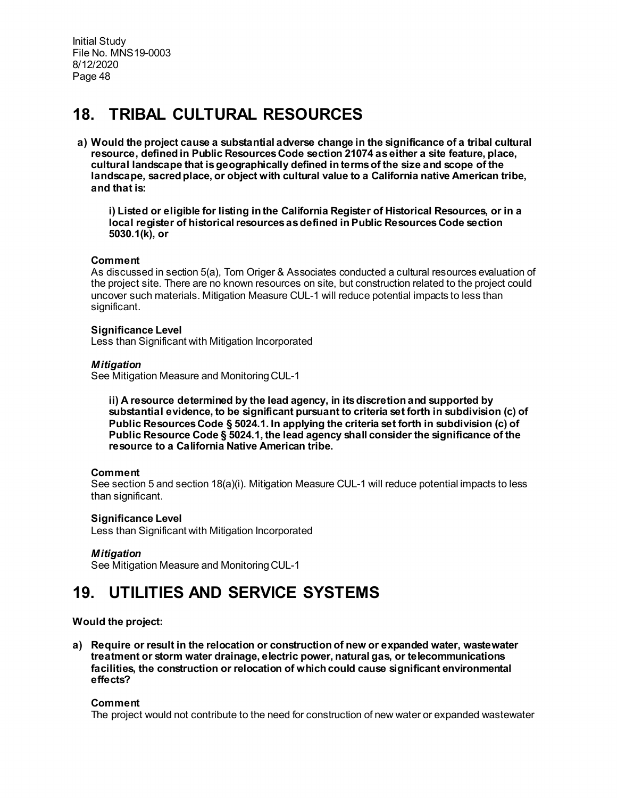# **18. TRIBAL CULTURAL RESOURCES**

**a) Would the project cause a substantial adverse change in the significance of a tribal cultural resource, defined in Public Resources Code section 21074 as either a site feature, place, cultural landscape that is geographically defined in terms of the size and scope of the landscape, sacred place, or object with cultural value to a California native American tribe, and that is:** 

**i) Listed or eligible for listing in the California Register of Historical Resources, or in a local register of historical resources as defined in Public Resources Code section 5030.1(k), or** 

# **Comment**

As discussed in section 5(a), Tom Origer & Associates conducted a cultural resources evaluation of the project site. There are no known resources on site, but construction related to the project could uncover such materials. Mitigation Measure CUL-1 will reduce potential impacts to less than significant.

### **Significance Level**

Less than Significant with Mitigation Incorporated

# *Mitigation*

See Mitigation Measure and Monitoring CUL-1

**ii) A resource determined by the lead agency, in its discretion and supported by substantial evidence, to be significant pursuant to criteria set forth in subdivision (c) of Public Resources Code § 5024.1. In applying the criteria set forth in subdivision (c) of Public Resource Code § 5024.1, the lead agency shall consider the significance of the resource to a California Native American tribe.** 

# **Comment**

See section 5 and section 18(a)(i). Mitigation Measure CUL-1 will reduce potential impacts to less than significant.

### **Significance Level**

Less than Significant with Mitigation Incorporated

### *Mitigation*

See Mitigation Measure and Monitoring CUL-1

# **19. UTILITIES AND SERVICE SYSTEMS**

# **Would the project:**

**a) Require or result in the relocation or construction of new or expanded water, wastewater treatment or storm water drainage, electric power, natural gas, or telecommunications facilities, the construction or relocation of which could cause significant environmental effects?**

### **Comment**

The project would not contribute to the need for construction of new water or expanded wastewater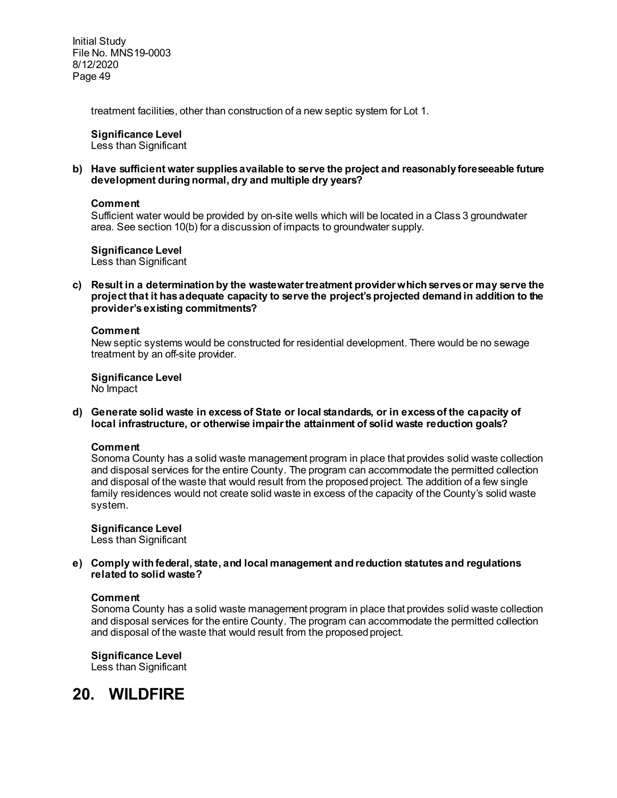treatment facilities, other than construction of a new septic system for Lot 1.

# **Significance Level**

Less than Significant

### **b) Have sufficient water supplies available to serve the project and reasonably foreseeable future development during normal, dry and multiple dry years?**

### **Comment**

Sufficient water would be provided by on-site wells which will be located in a Class 3 groundwater area. See section 10(b) for a discussion of impacts to groundwater supply.

**Significance Level**

Less than Significant

**c) Result in a determination by the wastewater treatment provider which serves or may serve the project that it has adequate capacity to serve the project's projected demand in addition to the provider's existing commitments?**

#### **Comment**

New septic systems would be constructed for residential development. There would be no sewage treatment by an off-site provider.

**Significance Level**

No Impact

**d) Generate solid waste in excess of State or local standards, or in excess of the capacity of local infrastructure, or otherwise impair the attainment of solid waste reduction goals?**

### **Comment**

Sonoma County has a solid waste management program in place that provides solid waste collection and disposal services for the entire County. The program can accommodate the permitted collection and disposal of the waste that would result from the proposed project. The addition of a few single family residences would not create solid waste in excess of the capacity of the County's solid waste system.

**Significance Level**

Less than Significant

**e) Comply with federal, state, and local management and reduction statutes and regulations related to solid waste?** 

### **Comment**

Sonoma County has a solid waste management program in place that provides solid waste collection and disposal services for the entire County. The program can accommodate the permitted collection and disposal of the waste that would result from the proposed project.

**Significance Level** Less than Significant

**20. WILDFIRE**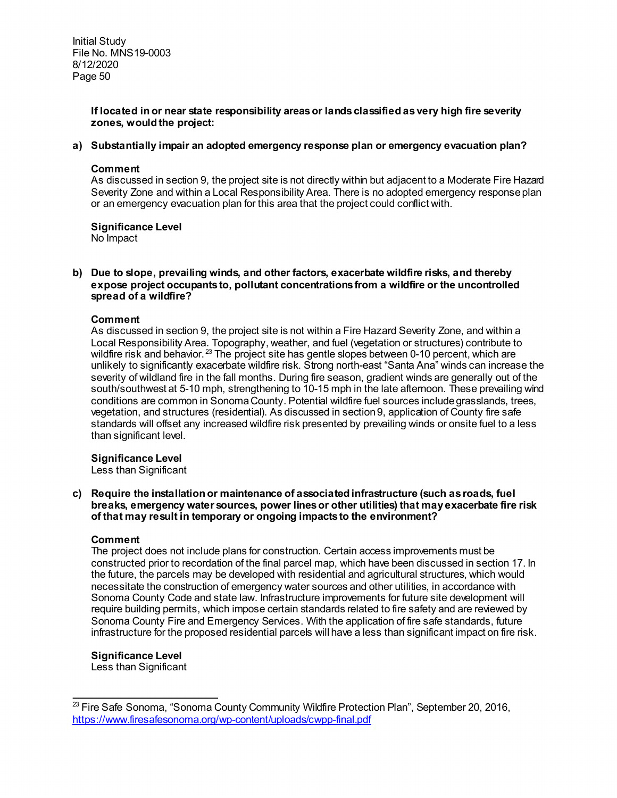# **If located in or near state responsibility areas or lands classified as very high fire severity zones, would the project:**

# **a) Substantially impair an adopted emergency response plan or emergency evacuation plan?**

### **Comment**

As discussed in section 9, the project site is not directly within but adjacent to a Moderate Fire Hazard Severity Zone and within a Local Responsibility Area. There is no adopted emergency response plan or an emergency evacuation plan for this area that the project could conflict with.

# **Significance Level**

No Impact

### **b) Due to slope, prevailing winds, and other factors, exacerbate wildfire risks, and thereby expose project occupants to, pollutant concentrations from a wildfire or the uncontrolled spread of a wildfire?**

# **Comment**

As discussed in section 9, the project site is not within a Fire Hazard Severity Zone, and within a Local Responsibility Area. Topography, weather, and fuel (vegetation or structures) contribute to wildfire risk and behavior.<sup>[23](#page-49-0)</sup> The project site has gentle slopes between 0-10 percent, which are unlikely to significantly exacerbate wildfire risk. Strong north-east "Santa Ana" winds can increase the severity of wildland fire in the fall months. During fire season, gradient winds are generally out of the south/southwest at 5-10 mph, strengthening to 10-15 mph in the late afternoon. These prevailing wind conditions are common in Sonoma County. Potential wildfire fuel sources include grasslands, trees, vegetation, and structures (residential). As discussed in section 9, application of County fire safe standards will offset any increased wildfire risk presented by prevailing winds or onsite fuel to a less than significant level.

# **Significance Level**

Less than Significant

**c) Require the installation or maintenance of associated infrastructure (such as roads, fuel breaks, emergency water sources, power lines or other utilities) that may exacerbate fire risk of that may result in temporary or ongoing impacts to the environment?** 

# **Comment**

The project does not include plans for construction. Certain access improvements must be constructed prior to recordation of the final parcel map, which have been discussed in section 17. In the future, the parcels may be developed with residential and agricultural structures, which would necessitate the construction of emergency water sources and other utilities, in accordance with Sonoma County Code and state law. Infrastructure improvements for future site development will require building permits, which impose certain standards related to fire safety and are reviewed by Sonoma County Fire and Emergency Services. With the application of fire safe standards, future infrastructure for the proposed residential parcels will have a less than significant impact on fire risk.

# **Significance Level**

Less than Significant

<span id="page-49-0"></span> $\overline{a}$  $^{23}$  Fire Safe Sonoma, "Sonoma County Community Wildfire Protection Plan", September 20, 2016, <https://www.firesafesonoma.org/wp-content/uploads/cwpp-final.pdf>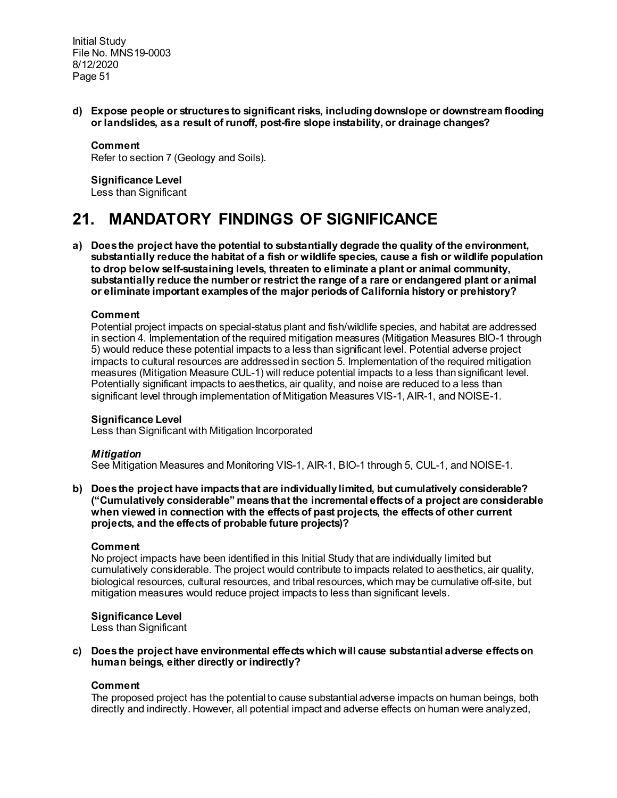**d) Expose people or structures to significant risks, including downslope or downstream flooding or landslides, as a result of runoff, post-fire slope instability, or drainage changes?**

#### **Comment**

Refer to section 7 (Geology and Soils).

### **Significance Level**

Less than Significant

# **21. MANDATORY FINDINGS OF SIGNIFICANCE**

**a) Does the project have the potential to substantially degrade the quality of the environment, substantially reduce the habitat of a fish or wildlife species, cause a fish or wildlife population to drop below self-sustaining levels, threaten to eliminate a plant or animal community, substantially reduce the number or restrict the range of a rare or endangered plant or animal or eliminate important examples of the major periods of California history or prehistory?** 

### **Comment**

Potential project impacts on special-status plant and fish/wildlife species, and habitat are addressed in section 4. Implementation of the required mitigation measures (Mitigation Measures BIO-1 through 5) would reduce these potential impacts to a less than significant level. Potential adverse project impacts to cultural resources are addressed in section 5. Implementation of the required mitigation measures (Mitigation Measure CUL-1) will reduce potential impacts to a less than significant level. Potentially significant impacts to aesthetics, air quality, and noise are reduced to a less than significant level through implementation of Mitigation Measures VIS-1, AIR-1, and NOISE-1.

#### **Significance Level**

Less than Significant with Mitigation Incorporated

#### *Mitigation*

See Mitigation Measures and Monitoring VIS-1, AIR-1, BIO-1 through 5, CUL-1, and NOISE-1.

**b) Does the project have impacts that are individually limited, but cumulatively considerable? ("Cumulatively considerable" means that the incremental effects of a project are considerable when viewed in connection with the effects of past projects, the effects of other current projects, and the effects of probable future projects)?** 

### **Comment**

No project impacts have been identified in this Initial Study that are individually limited but cumulatively considerable. The project would contribute to impacts related to aesthetics, air quality, biological resources, cultural resources, and tribal resources, which may be cumulative off-site, but mitigation measures would reduce project impacts to less than significant levels.

#### **Significance Level**

Less than Significant

**c) Does the project have environmental effects which will cause substantial adverse effects on human beings, either directly or indirectly?** 

#### **Comment**

The proposed project has the potential to cause substantial adverse impacts on human beings, both directly and indirectly. However, all potential impact and adverse effects on human were analyzed,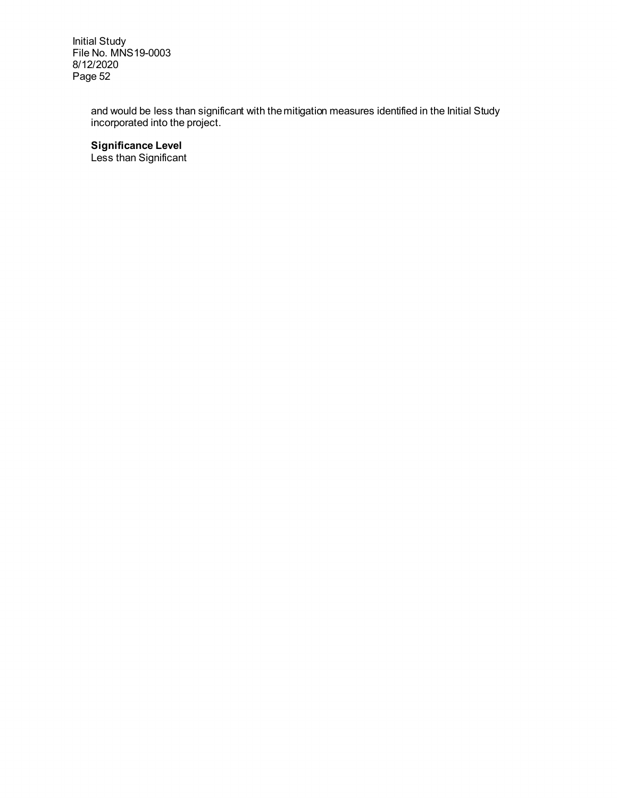> and would be less than significant with the mitigation measures identified in the Initial Study incorporated into the project.

**Significance Level**

Less than Significant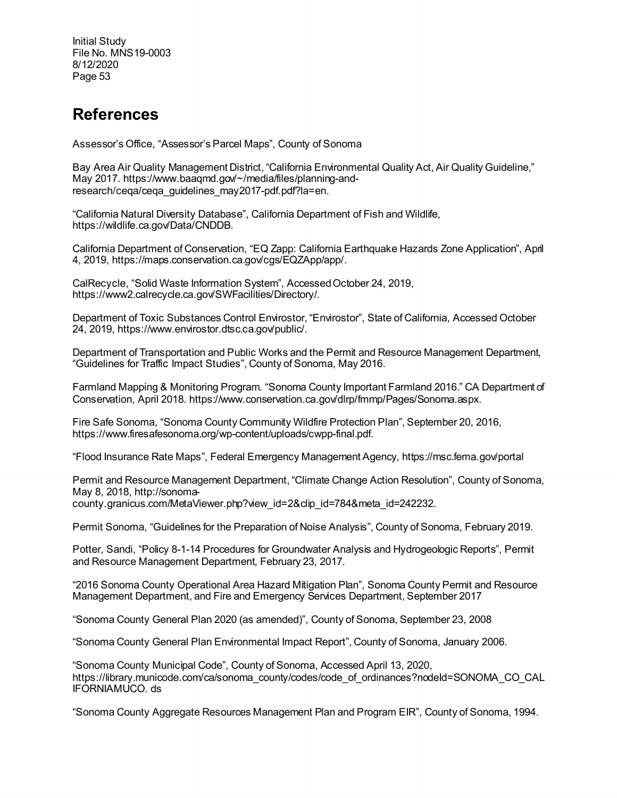# **References**

Assessor's Office, "Assessor's Parcel Maps", County of Sonoma

Bay Area Air Quality Management District, "California Environmental Quality Act, Air Quality Guideline," May 2017. https://www.baaqmd.gov/~/media/files/planning-andresearch/ceqa/ceqa\_guidelines\_may2017-pdf.pdf?la=en.

"California Natural Diversity Database", California Department of Fish and Wildlife, https://wildlife.ca.gov/Data/CNDDB.

California Department of Conservation, "EQ Zapp: California Earthquake Hazards Zone Application", April 4, 2019, https://maps.conservation.ca.gov/cgs/EQZApp/app/.

CalRecycle, "Solid Waste Information System", Accessed October 24, 2019, https://www2.calrecycle.ca.gov/SWFacilities/Directory/.

Department of Toxic Substances Control Envirostor, "Envirostor", State of California, Accessed October 24, 2019, https://www.envirostor.dtsc.ca.gov/public/.

Department of Transportation and Public Works and the Permit and Resource Management Department, "Guidelines for Traffic Impact Studies", County of Sonoma, May 2016.

Farmland Mapping & Monitoring Program. "Sonoma County Important Farmland 2016." CA Department of Conservation, April 2018. https://www.conservation.ca.gov/dlrp/fmmp/Pages/Sonoma.aspx.

Fire Safe Sonoma, "Sonoma County Community Wildfire Protection Plan", September 20, 2016, https://www.firesafesonoma.org/wp-content/uploads/cwpp-final.pdf.

"Flood Insurance Rate Maps", Federal Emergency Management Agency[, https://msc.fema.gov/portal](https://msc.fema.gov/portal)

Permit and Resource Management Department, "Climate Change Action Resolution", County of Sonoma, May 8, 2018, http://sonomacounty.granicus.com/MetaViewer.php?view\_id=2&clip\_id=784&meta\_id=242232.

Permit Sonoma, "Guidelines for the Preparation of Noise Analysis", County of Sonoma, February 2019.

Potter, Sandi, "Policy 8-1-14 Procedures for Groundwater Analysis and Hydrogeologic Reports", Permit and Resource Management Department, February 23, 2017.

"2016 Sonoma County Operational Area Hazard Mitigation Plan", Sonoma County Permit and Resource Management Department, and Fire and Emergency Services Department, September 2017

"Sonoma County General Plan 2020 (as amended)", County of Sonoma, September 23, 2008

"Sonoma County General Plan Environmental Impact Report", County of Sonoma, January 2006.

"Sonoma County Municipal Code", County of Sonoma, Accessed April 13, 2020, https://library.municode.com/ca/sonoma\_county/codes/code\_of\_ordinances?nodeId=SONOMA\_CO\_CAL IFORNIAMUCO. ds

"Sonoma County Aggregate Resources Management Plan and Program EIR", County of Sonoma, 1994.